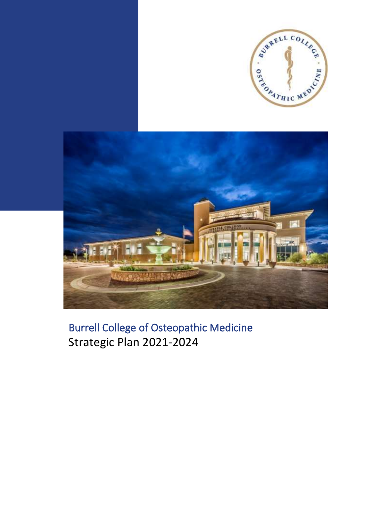



Burrell College of Osteopathic Medicine Strategic Plan 2021-2024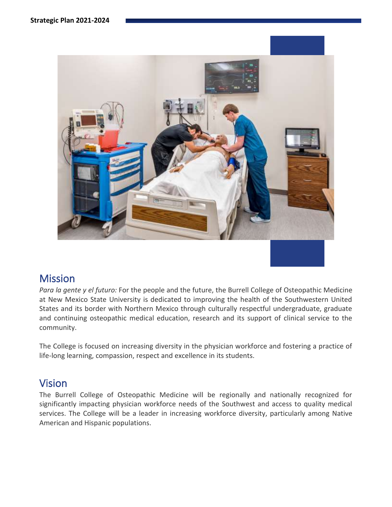

### Mission

*Para la gente y el futuro:* For the people and the future, the Burrell College of Osteopathic Medicine at New Mexico State University is dedicated to improving the health of the Southwestern United States and its border with Northern Mexico through culturally respectful undergraduate, graduate and continuing osteopathic medical education, research and its support of clinical service to the community.

The College is focused on increasing diversity in the physician workforce and fostering a practice of life-long learning, compassion, respect and excellence in its students.

### Vision

The Burrell College of Osteopathic Medicine will be regionally and nationally recognized for significantly impacting physician workforce needs of the Southwest and access to quality medical services. The College will be a leader in increasing workforce diversity, particularly among Native American and Hispanic populations.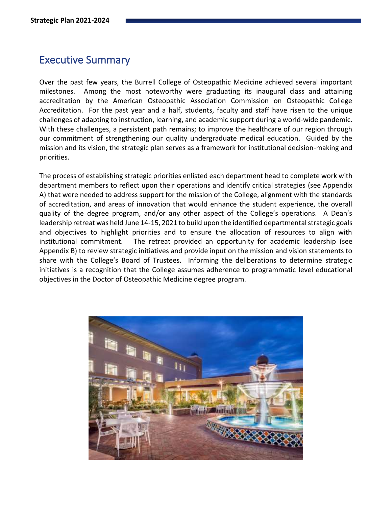### Executive Summary

Over the past few years, the Burrell College of Osteopathic Medicine achieved several important milestones. Among the most noteworthy were graduating its inaugural class and attaining accreditation by the American Osteopathic Association Commission on Osteopathic College Accreditation. For the past year and a half, students, faculty and staff have risen to the unique challenges of adapting to instruction, learning, and academic support during a world-wide pandemic. With these challenges, a persistent path remains; to improve the healthcare of our region through our commitment of strengthening our quality undergraduate medical education. Guided by the mission and its vision, the strategic plan serves as a framework for institutional decision-making and priorities.

The process of establishing strategic priorities enlisted each department head to complete work with department members to reflect upon their operations and identify critical strategies (see Appendix A) that were needed to address support for the mission of the College, alignment with the standards of accreditation, and areas of innovation that would enhance the student experience, the overall quality of the degree program, and/or any other aspect of the College's operations. A Dean's leadership retreat was held June 14-15, 2021 to build upon the identified departmental strategic goals and objectives to highlight priorities and to ensure the allocation of resources to align with institutional commitment. The retreat provided an opportunity for academic leadership (see Appendix B) to review strategic initiatives and provide input on the mission and vision statements to share with the College's Board of Trustees. Informing the deliberations to determine strategic initiatives is a recognition that the College assumes adherence to programmatic level educational objectives in the Doctor of Osteopathic Medicine degree program.

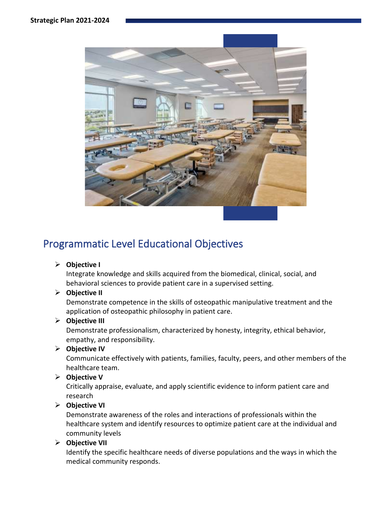

# Programmatic Level Educational Objectives

#### ➢ **Objective I**

Integrate knowledge and skills acquired from the biomedical, clinical, social, and behavioral sciences to provide patient care in a supervised setting.

#### ➢ **Objective II**

Demonstrate competence in the skills of osteopathic manipulative treatment and the application of osteopathic philosophy in patient care.

#### ➢ **Objective III**

Demonstrate professionalism, characterized by honesty, integrity, ethical behavior, empathy, and responsibility.

#### ➢ **Objective IV**

Communicate effectively with patients, families, faculty, peers, and other members of the healthcare team.

#### ➢ **Objective V**

Critically appraise, evaluate, and apply scientific evidence to inform patient care and research

### ➢ **Objective VI**

Demonstrate awareness of the roles and interactions of professionals within the healthcare system and identify resources to optimize patient care at the individual and community levels

#### ➢ **Objective VII**

Identify the specific healthcare needs of diverse populations and the ways in which the medical community responds.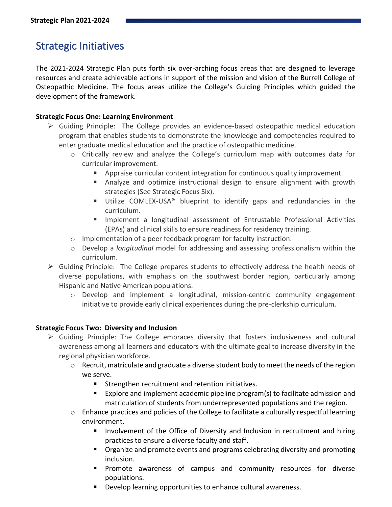# Strategic Initiatives

The 2021-2024 Strategic Plan puts forth six over-arching focus areas that are designed to leverage resources and create achievable actions in support of the mission and vision of the Burrell College of Osteopathic Medicine. The focus areas utilize the College's Guiding Principles which guided the development of the framework.

#### **Strategic Focus One: Learning Environment**

- $\triangleright$  Guiding Principle: The College provides an evidence-based osteopathic medical education program that enables students to demonstrate the knowledge and competencies required to enter graduate medical education and the practice of osteopathic medicine.
	- $\circ$  Critically review and analyze the College's curriculum map with outcomes data for curricular improvement.
		- **EXED** Appraise curricular content integration for continuous quality improvement.
		- **E** Analyze and optimize instructional design to ensure alignment with growth strategies (See Strategic Focus Six).
		- Utilize COMLEX-USA<sup>®</sup> blueprint to identify gaps and redundancies in the curriculum.
		- Implement a longitudinal assessment of Entrustable Professional Activities (EPAs) and clinical skills to ensure readiness for residency training.
	- o Implementation of a peer feedback program for faculty instruction.
	- o Develop a *longitudinal* model for addressing and assessing professionalism within the curriculum.
- $\triangleright$  Guiding Principle: The College prepares students to effectively address the health needs of diverse populations, with emphasis on the southwest border region, particularly among Hispanic and Native American populations.
	- $\circ$  Develop and implement a longitudinal, mission-centric community engagement initiative to provide early clinical experiences during the pre-clerkship curriculum.

#### **Strategic Focus Two: Diversity and Inclusion**

- $\triangleright$  Guiding Principle: The College embraces diversity that fosters inclusiveness and cultural awareness among all learners and educators with the ultimate goal to increase diversity in the regional physician workforce.
	- $\circ$  Recruit, matriculate and graduate a diverse student body to meet the needs of the region we serve.
		- Strengthen recruitment and retention initiatives.
		- Explore and implement academic pipeline program(s) to facilitate admission and matriculation of students from underrepresented populations and the region.
	- $\circ$  Enhance practices and policies of the College to facilitate a culturally respectful learning environment.
		- Involvement of the Office of Diversity and Inclusion in recruitment and hiring practices to ensure a diverse faculty and staff.
		- Organize and promote events and programs celebrating diversity and promoting inclusion.
		- Promote awareness of campus and community resources for diverse populations.
		- Develop learning opportunities to enhance cultural awareness.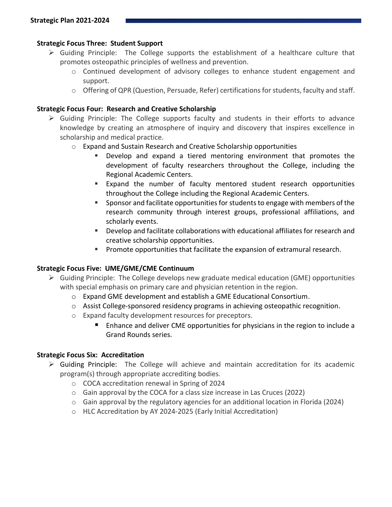#### **Strategic Focus Three: Student Support**

- ➢ Guiding Principle: The College supports the establishment of a healthcare culture that promotes osteopathic principles of wellness and prevention.
	- $\circ$  Continued development of advisory colleges to enhance student engagement and support.
	- o Offering of QPR (Question, Persuade, Refer) certifications for students, faculty and staff.

#### **Strategic Focus Four: Research and Creative Scholarship**

- $\triangleright$  Guiding Principle: The College supports faculty and students in their efforts to advance knowledge by creating an atmosphere of inquiry and discovery that inspires excellence in scholarship and medical practice.
	- $\circ$  Expand and Sustain Research and Creative Scholarship opportunities
		- Develop and expand a tiered mentoring environment that promotes the development of faculty researchers throughout the College, including the Regional Academic Centers.
		- Expand the number of faculty mentored student research opportunities throughout the College including the Regional Academic Centers.
		- Sponsor and facilitate opportunities for students to engage with members of the research community through interest groups, professional affiliations, and scholarly events.
		- Develop and facilitate collaborations with educational affiliates for research and creative scholarship opportunities.
		- **Promote opportunities that facilitate the expansion of extramural research.**

#### **Strategic Focus Five: UME/GME/CME Continuum**

- ➢ Guiding Principle: The College develops new graduate medical education (GME) opportunities with special emphasis on primary care and physician retention in the region.
	- o Expand GME development and establish a GME Educational Consortium.
	- $\circ$  Assist College-sponsored residency programs in achieving osteopathic recognition.
	- o Expand faculty development resources for preceptors.
		- Enhance and deliver CME opportunities for physicians in the region to include a Grand Rounds series.

#### **Strategic Focus Six: Accreditation**

- $\triangleright$  Guiding Principle: The College will achieve and maintain accreditation for its academic program(s) through appropriate accrediting bodies.
	- o COCA accreditation renewal in Spring of 2024
	- o Gain approval by the COCA for a class size increase in Las Cruces (2022)
	- $\circ$  Gain approval by the regulatory agencies for an additional location in Florida (2024)
	- o HLC Accreditation by AY 2024-2025 (Early Initial Accreditation)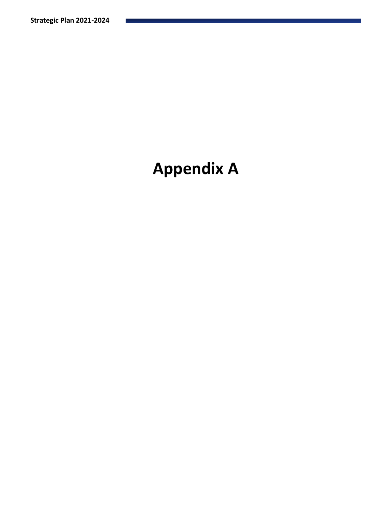# **Appendix A**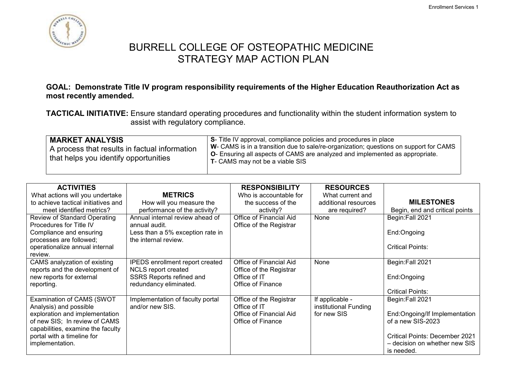

#### **GOAL: Demonstrate Title IV program responsibility requirements of the Higher Education Reauthorization Act as most recently amended.**

**TACTICAL INITIATIVE:** Ensure standard operating procedures and functionality within the student information system to assist with regulatory compliance.

| <b>MARKET ANALYSIS</b><br>A process that results in factual information<br>that helps you identify opportunities | S- Title IV approval, compliance policies and procedures in place<br>W- CAMS is in a transition due to sale/re-organization; questions on support for CAMS<br><b>O</b> - Ensuring all aspects of CAMS are analyzed and implemented as appropriate.<br><b>T</b> - CAMS may not be a viable SIS |
|------------------------------------------------------------------------------------------------------------------|-----------------------------------------------------------------------------------------------------------------------------------------------------------------------------------------------------------------------------------------------------------------------------------------------|
|------------------------------------------------------------------------------------------------------------------|-----------------------------------------------------------------------------------------------------------------------------------------------------------------------------------------------------------------------------------------------------------------------------------------------|

| <b>ACTIVITIES</b>                   |                                  | <b>RESPONSIBILITY</b>   | <b>RESOURCES</b>      |                                       |
|-------------------------------------|----------------------------------|-------------------------|-----------------------|---------------------------------------|
| What actions will you undertake     | <b>METRICS</b>                   | Who is accountable for  | What current and      |                                       |
| to achieve tactical initiatives and | How will you measure the         | the success of the      | additional resources  | <b>MILESTONES</b>                     |
| meet identified metrics?            | performance of the activity?     | activity?               | are required?         | Begin, end and critical points        |
| <b>Review of Standard Operating</b> | Annual internal review ahead of  | Office of Financial Aid | None                  | Begin:Fall 2021                       |
| Procedures for Title IV             | annual audit.                    | Office of the Registrar |                       |                                       |
| Compliance and ensuring             | Less than a 5% exception rate in |                         |                       | End:Ongoing                           |
| processes are followed;             | the internal review.             |                         |                       |                                       |
| operationalize annual internal      |                                  |                         |                       | <b>Critical Points:</b>               |
| review.                             |                                  |                         |                       |                                       |
| CAMS analyzation of existing        | IPEDS enrollment report created  | Office of Financial Aid | None                  | Begin:Fall 2021                       |
| reports and the development of      | NCLS report created              | Office of the Registrar |                       |                                       |
| new reports for external            | <b>SSRS Reports refined and</b>  | Office of IT            |                       | End:Ongoing                           |
| reporting.                          | redundancy eliminated.           | Office of Finance       |                       |                                       |
|                                     |                                  |                         |                       | <b>Critical Points:</b>               |
| Examination of CAMS (SWOT           | Implementation of faculty portal | Office of the Registrar | If applicable -       | Begin:Fall 2021                       |
| Analysis) and possible              | and/or new SIS.                  | Office of IT            | institutional Funding |                                       |
| exploration and implementation      |                                  | Office of Financial Aid | for new SIS           | End:Ongoing/If Implementation         |
| of new SIS; In review of CAMS       |                                  | Office of Finance       |                       | of a new SIS-2023                     |
| capabilities, examine the faculty   |                                  |                         |                       |                                       |
| portal with a timeline for          |                                  |                         |                       | <b>Critical Points: December 2021</b> |
| implementation.                     |                                  |                         |                       | - decision on whether new SIS         |
|                                     |                                  |                         |                       | is needed.                            |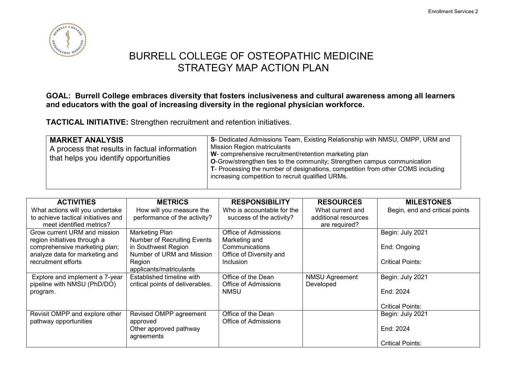

#### **GOAL: Burrell College embraces diversity that fosters inclusiveness and cultural awareness among all learners and educators with the goal of increasing diversity in the regional physician workforce.**

**TACTICAL INITIATIVE:** Strengthen recruitment and retention initiatives.

| <b>Mission Region matriculants</b><br>A process that results in factual information<br>W- comprehensive recruitment/retention marketing plan<br>that helps you identify opportunities<br><b>O-</b> Grow/strengthen ties to the community; Strengthen campus communication<br>T- Processing the number of designations, competition from other COMS including<br>increasing competition to recruit qualified URMs. |
|-------------------------------------------------------------------------------------------------------------------------------------------------------------------------------------------------------------------------------------------------------------------------------------------------------------------------------------------------------------------------------------------------------------------|
|-------------------------------------------------------------------------------------------------------------------------------------------------------------------------------------------------------------------------------------------------------------------------------------------------------------------------------------------------------------------------------------------------------------------|

| <b>ACTIVITIES</b>                   | <b>METRICS</b>                     | <b>RESPONSIBILITY</b>      | <b>RESOURCES</b>      | <b>MILESTONES</b>              |
|-------------------------------------|------------------------------------|----------------------------|-----------------------|--------------------------------|
| What actions will you undertake     | How will you measure the           | Who is accountable for the | What current and      | Begin, end and critical points |
| to achieve tactical initiatives and | performance of the activity?       | success of the activity?   | additional resources  |                                |
| meet identified metrics?            |                                    |                            | are required?         |                                |
| Grow current URM and mission        | <b>Marketing Plan</b>              | Office of Admissions       |                       | Begin: July 2021               |
| region initiatives through a        | <b>Number of Recruiting Events</b> | Marketing and              |                       |                                |
| comprehensive marketing plan;       | in Southwest Region                | Communications             |                       | End: Ongoing                   |
| analyze data for marketing and      | Number of URM and Mission          | Office of Diversity and    |                       |                                |
| recruitment efforts                 | Region                             | Inclusion                  |                       | Critical Points:               |
|                                     | applicants/matriculants            |                            |                       |                                |
| Explore and implement a 7-year      | Established timeline with          | Office of the Dean         | <b>NMSU Agreement</b> | Begin: July 2021               |
| pipeline with NMSU (PhD/DO)         | critical points of deliverables.   | Office of Admissions       | Developed             |                                |
| program.                            |                                    | <b>NMSU</b>                |                       | End: 2024                      |
|                                     |                                    |                            |                       |                                |
|                                     |                                    |                            |                       | <b>Critical Points:</b>        |
| Revisit OMPP and explore other      | Revised OMPP agreement             | Office of the Dean         |                       | Begin: July 2021               |
| pathway opportunities               | approved                           | Office of Admissions       |                       |                                |
|                                     | Other approved pathway             |                            |                       | End: 2024                      |
|                                     | agreements                         |                            |                       |                                |
|                                     |                                    |                            |                       | <b>Critical Points:</b>        |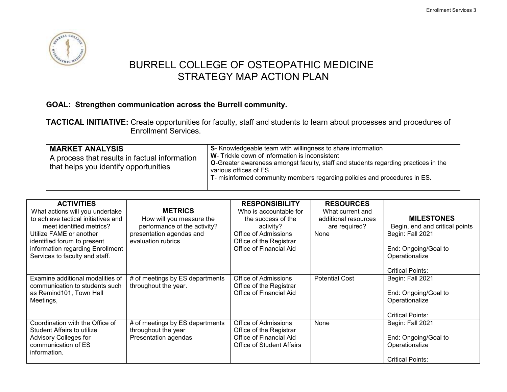

### **GOAL: Strengthen communication across the Burrell community.**

**TACTICAL INITIATIVE:** Create opportunities for faculty, staff and students to learn about processes and procedures of Enrollment Services.

| <b>MARKET ANALYSIS</b><br>A process that results in factual information<br>that helps you identify opportunities | S- Knowledgeable team with willingness to share information<br>W- Trickle down of information is inconsistent<br><b>O-</b> Greater awareness amongst faculty, staff and students regarding practices in the<br>various offices of ES.<br>T- misinformed community members regarding policies and procedures in ES. |
|------------------------------------------------------------------------------------------------------------------|--------------------------------------------------------------------------------------------------------------------------------------------------------------------------------------------------------------------------------------------------------------------------------------------------------------------|
|------------------------------------------------------------------------------------------------------------------|--------------------------------------------------------------------------------------------------------------------------------------------------------------------------------------------------------------------------------------------------------------------------------------------------------------------|

| <b>ACTIVITIES</b>                   |                                 | <b>RESPONSIBILITY</b>     | <b>RESOURCES</b>      |                                |
|-------------------------------------|---------------------------------|---------------------------|-----------------------|--------------------------------|
| What actions will you undertake     | <b>METRICS</b>                  | Who is accountable for    | What current and      |                                |
| to achieve tactical initiatives and | How will you measure the        | the success of the        | additional resources  | <b>MILESTONES</b>              |
| meet identified metrics?            | performance of the activity?    | activity?                 | are required?         | Begin, end and critical points |
| Utilize FAME or another             | presentation agendas and        | Office of Admissions      | None                  | Begin: Fall 2021               |
| identified forum to present         | evaluation rubrics              | Office of the Registrar   |                       |                                |
| information regarding Enrollment    |                                 | Office of Financial Aid   |                       | End: Ongoing/Goal to           |
| Services to faculty and staff.      |                                 |                           |                       | Operationalize                 |
|                                     |                                 |                           |                       |                                |
|                                     |                                 |                           |                       | <b>Critical Points:</b>        |
| Examine additional modalities of    | # of meetings by ES departments | Office of Admissions      | <b>Potential Cost</b> | Begin: Fall 2021               |
| communication to students such      | throughout the year.            | Office of the Registrar   |                       |                                |
| as Remind101, Town Hall             |                                 | Office of Financial Aid   |                       | End: Ongoing/Goal to           |
| Meetings,                           |                                 |                           |                       | Operationalize                 |
|                                     |                                 |                           |                       |                                |
|                                     |                                 |                           |                       | <b>Critical Points:</b>        |
| Coordination with the Office of     | # of meetings by ES departments | Office of Admissions      | None                  | Begin: Fall 2021               |
| <b>Student Affairs to utilize</b>   | throughout the year             | Office of the Registrar   |                       |                                |
| Advisory Colleges for               | Presentation agendas            | Office of Financial Aid   |                       | End: Ongoing/Goal to           |
| communication of ES                 |                                 | Office of Student Affairs |                       | Operationalize                 |
| information.                        |                                 |                           |                       |                                |
|                                     |                                 |                           |                       | <b>Critical Points:</b>        |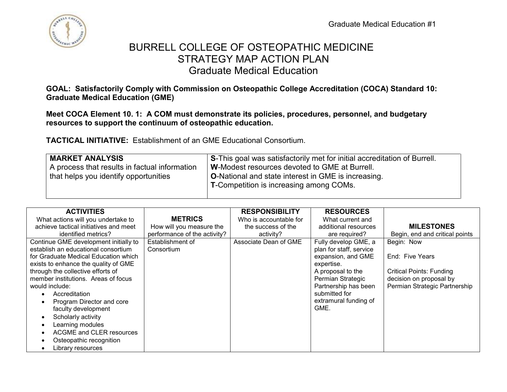

## BURRELL COLLEGE OF OSTEOPATHIC MEDICINE STRATEGY MAP ACTION PLAN Graduate Medical Education

**GOAL: Satisfactorily Comply with Commission on Osteopathic College Accreditation (COCA) Standard 10: Graduate Medical Education (GME)** 

**Meet COCA Element 10. 1: A COM must demonstrate its policies, procedures, personnel, and budgetary resources to support the continuum of osteopathic education.**

**TACTICAL INITIATIVE:** Establishment of an GME Educational Consortium.

| <b>MARKET ANALYSIS</b>                        | S-This goal was satisfactorily met for initial accreditation of Burrell. |
|-----------------------------------------------|--------------------------------------------------------------------------|
| A process that results in factual information | W-Modest resources devoted to GME at Burrell.                            |
| that helps you identify opportunities         | <b>O-National and state interest in GME is increasing.</b>               |
|                                               | <b>T-Competition is increasing among COMs.</b>                           |
|                                               |                                                                          |

| <b>ACTIVITIES</b>                     |                              | <b>RESPONSIBILITY</b>  | <b>RESOURCES</b>        |                                 |
|---------------------------------------|------------------------------|------------------------|-------------------------|---------------------------------|
| What actions will you undertake to    | <b>METRICS</b>               | Who is accountable for | What current and        |                                 |
| achieve tactical initiatives and meet | How will you measure the     | the success of the     | additional resources    | <b>MILESTONES</b>               |
| identified metrics?                   | performance of the activity? | activity?              | are required?           | Begin, end and critical points  |
| Continue GME development initially to | Establishment of             | Associate Dean of GME  | Fully develop GME, a    | Begin: Now                      |
| establish an educational consortium   | Consortium                   |                        | plan for staff, service |                                 |
| for Graduate Medical Education which  |                              |                        | expansion, and GME      | End: Five Years                 |
| exists to enhance the quality of GME  |                              |                        | expertise.              |                                 |
| through the collective efforts of     |                              |                        | A proposal to the       | <b>Critical Points: Funding</b> |
| member institutions. Areas of focus   |                              |                        | Permian Strategic       | decision on proposal by         |
| would include:                        |                              |                        | Partnership has been    | Permian Strategic Partnership   |
| Accreditation                         |                              |                        | submitted for           |                                 |
| Program Director and core             |                              |                        | extramural funding of   |                                 |
| faculty development                   |                              |                        | GME.                    |                                 |
| Scholarly activity                    |                              |                        |                         |                                 |
| Learning modules                      |                              |                        |                         |                                 |
| ACGME and CLER resources              |                              |                        |                         |                                 |
| Osteopathic recognition               |                              |                        |                         |                                 |
| Library resources                     |                              |                        |                         |                                 |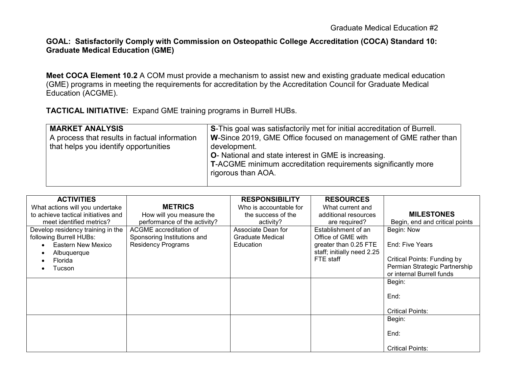#### **GOAL: Satisfactorily Comply with Commission on Osteopathic College Accreditation (COCA) Standard 10: Graduate Medical Education (GME)**

**Meet COCA Element 10.2** A COM must provide a mechanism to assist new and existing graduate medical education (GME) programs in meeting the requirements for accreditation by the Accreditation Council for Graduate Medical Education (ACGME).

**TACTICAL INITIATIVE:** Expand GME training programs in Burrell HUBs.

| <b>MARKET ANALYSIS</b><br>A process that results in factual information<br>that helps you identify opportunities | <b>S-This goal was satisfactorily met for initial accreditation of Burrell.</b><br>W-Since 2019, GME Office focused on management of GME rather than<br>development.<br><b>O</b> - National and state interest in GME is increasing.<br><b>T-ACGME</b> minimum accreditation requirements significantly more<br>rigorous than AOA. |
|------------------------------------------------------------------------------------------------------------------|------------------------------------------------------------------------------------------------------------------------------------------------------------------------------------------------------------------------------------------------------------------------------------------------------------------------------------|
|                                                                                                                  |                                                                                                                                                                                                                                                                                                                                    |

| <b>ACTIVITIES</b>                   |                              | <b>RESPONSIBILITY</b>  | <b>RESOURCES</b>           |                                    |
|-------------------------------------|------------------------------|------------------------|----------------------------|------------------------------------|
| What actions will you undertake     | <b>METRICS</b>               | Who is accountable for | What current and           |                                    |
| to achieve tactical initiatives and | How will you measure the     | the success of the     | additional resources       | <b>MILESTONES</b>                  |
| meet identified metrics?            | performance of the activity? | activity?              | are required?              | Begin, end and critical points     |
| Develop residency training in the   | ACGME accreditation of       | Associate Dean for     | Establishment of an        | Begin: Now                         |
| following Burrell HUBs:             | Sponsoring Institutions and  | Graduate Medical       | Office of GME with         |                                    |
| Eastern New Mexico                  | <b>Residency Programs</b>    | Education              | greater than 0.25 FTE      | End: Five Years                    |
| Albuquerque                         |                              |                        | staff; initially need 2.25 |                                    |
| Florida                             |                              |                        | FTE staff                  | <b>Critical Points: Funding by</b> |
| Tucson                              |                              |                        |                            | Permian Strategic Partnership      |
|                                     |                              |                        |                            | or internal Burrell funds          |
|                                     |                              |                        |                            | Begin:                             |
|                                     |                              |                        |                            |                                    |
|                                     |                              |                        |                            | End:                               |
|                                     |                              |                        |                            |                                    |
|                                     |                              |                        |                            | <b>Critical Points:</b>            |
|                                     |                              |                        |                            | Begin:                             |
|                                     |                              |                        |                            |                                    |
|                                     |                              |                        |                            | End:                               |
|                                     |                              |                        |                            |                                    |
|                                     |                              |                        |                            | <b>Critical Points:</b>            |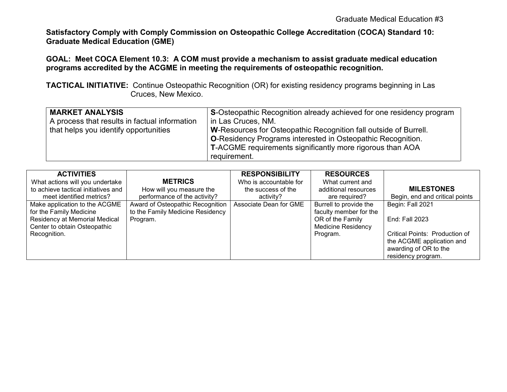**Satisfactory Comply with Comply Commission on Osteopathic College Accreditation (COCA) Standard 10: Graduate Medical Education (GME)** 

### **GOAL: Meet COCA Element 10.3: A COM must provide a mechanism to assist graduate medical education programs accredited by the ACGME in meeting the requirements of osteopathic recognition.**

**TACTICAL INITIATIVE:** Continue Osteopathic Recognition (OR) for existing residency programs beginning in Las Cruces, New Mexico.

| <b>MARKET ANALYSIS</b><br>A process that results in factual information<br>that helps you identify opportunities | S-Osteopathic Recognition already achieved for one residency program<br>In Las Cruces, NM.<br>W-Resources for Osteopathic Recognition fall outside of Burrell.<br><b>O-Residency Programs interested in Osteopathic Recognition.</b><br>T-ACGME requirements significantly more rigorous than AOA |
|------------------------------------------------------------------------------------------------------------------|---------------------------------------------------------------------------------------------------------------------------------------------------------------------------------------------------------------------------------------------------------------------------------------------------|
|                                                                                                                  | requirement.                                                                                                                                                                                                                                                                                      |

| <b>ACTIVITIES</b>                   |                                  | <b>RESPONSIBILITY</b>  | <b>RESOURCES</b>          |                                |
|-------------------------------------|----------------------------------|------------------------|---------------------------|--------------------------------|
| What actions will you undertake     | <b>METRICS</b>                   | Who is accountable for | What current and          |                                |
| to achieve tactical initiatives and | How will you measure the         | the success of the     | additional resources      | <b>MILESTONES</b>              |
| meet identified metrics?            | performance of the activity?     | activity?              | are required?             | Begin, end and critical points |
| Make application to the ACGME       | Award of Osteopathic Recognition | Associate Dean for GME | Burrell to provide the    | Begin: Fall 2021               |
| for the Family Medicine             | to the Family Medicine Residency |                        | faculty member for the    |                                |
| Residency at Memorial Medical       | Program.                         |                        | OR of the Family          | End: Fall 2023                 |
| Center to obtain Osteopathic        |                                  |                        | <b>Medicine Residency</b> |                                |
| Recognition.                        |                                  |                        | Program.                  | Critical Points: Production of |
|                                     |                                  |                        |                           | the ACGME application and      |
|                                     |                                  |                        |                           | awarding of OR to the          |
|                                     |                                  |                        |                           | residency program.             |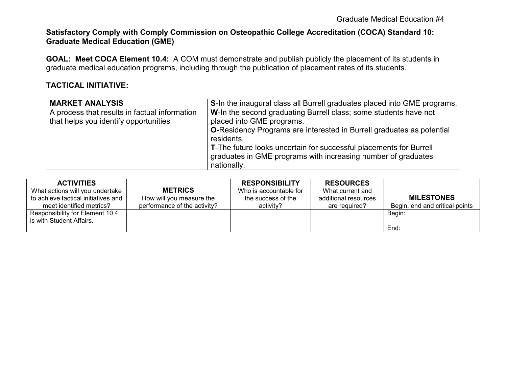#### **Satisfactory Comply with Comply Commission on Osteopathic College Accreditation (COCA) Standard 10: Graduate Medical Education (GME)**

**GOAL: Meet COCA Element 10.4:** A COM must demonstrate and publish publicly the placement of its students in graduate medical education programs, including through the publication of placement rates of its students.

### **TACTICAL INITIATIVE:**

| <b>MARKET ANALYSIS</b>                        | S-In the inaugural class all Burrell graduates placed into GME programs.     |
|-----------------------------------------------|------------------------------------------------------------------------------|
| A process that results in factual information | W-In the second graduating Burrell class; some students have not             |
| that helps you identify opportunities         | placed into GME programs.                                                    |
|                                               | <b>O-Residency Programs are interested in Burrell graduates as potential</b> |
|                                               | residents.                                                                   |
|                                               | T-The future looks uncertain for successful placements for Burrell           |
|                                               | graduates in GME programs with increasing number of graduates                |
|                                               | nationally.                                                                  |

| <b>ACTIVITIES</b><br>What actions will you undertake<br>to achieve tactical initiatives and | <b>METRICS</b><br>How will you measure the | <b>RESPONSIBILITY</b><br>Who is accountable for<br>the success of the | <b>RESOURCES</b><br>What current and<br>additional resources | <b>MILESTONES</b>              |
|---------------------------------------------------------------------------------------------|--------------------------------------------|-----------------------------------------------------------------------|--------------------------------------------------------------|--------------------------------|
| meet identified metrics?                                                                    | performance of the activity?               | activity?                                                             | are required?                                                | Begin, end and critical points |
| Responsibility for Element 10.4<br>is with Student Affairs.                                 |                                            |                                                                       |                                                              | Begin:                         |
|                                                                                             |                                            |                                                                       |                                                              | End:                           |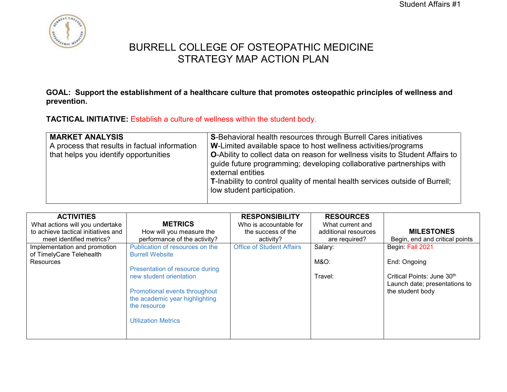

**GOAL: Support the establishment of a healthcare culture that promotes osteopathic principles of wellness and prevention.**

**TACTICAL INITIATIVE:** Establish a culture of wellness within the student body.

| <b>MARKET ANALYSIS</b><br>A process that results in factual information<br>that helps you identify opportunities | <b>S-Behavioral health resources through Burrell Cares initiatives</b><br>W-Limited available space to host wellness activities/programs<br><b>O-Ability to collect data on reason for wellness visits to Student Affairs to</b><br>guide future programming; developing collaborative partnerships with<br>external entities<br>T-Inability to control quality of mental health services outside of Burrell;<br>low student participation. |
|------------------------------------------------------------------------------------------------------------------|---------------------------------------------------------------------------------------------------------------------------------------------------------------------------------------------------------------------------------------------------------------------------------------------------------------------------------------------------------------------------------------------------------------------------------------------|
|------------------------------------------------------------------------------------------------------------------|---------------------------------------------------------------------------------------------------------------------------------------------------------------------------------------------------------------------------------------------------------------------------------------------------------------------------------------------------------------------------------------------------------------------------------------------|

|  | <b>ACTIVITIES</b><br>What actions will you undertake<br>to achieve tactical initiatives and<br>meet identified metrics?<br>Implementation and promotion<br>of TimelyCare Telehealth<br><b>Resources</b> | <b>METRICS</b><br>How will you measure the<br>performance of the activity?<br>Publication of resources on the<br><b>Burrell Website</b><br>Presentation of resource during<br>new student orientation<br>Promotional events throughout<br>the academic year highlighting<br>the resource<br><b>Utilization Metrics</b> | <b>RESPONSIBILITY</b><br>Who is accountable for<br>the success of the<br>activity?<br><b>Office of Student Affairs</b> | <b>RESOURCES</b><br>What current and<br>additional resources<br>are required?<br>Salary:<br><b>M&amp;O:</b><br>Travel: | <b>MILESTONES</b><br>Begin, end and critical points<br>Begin: Fall 2021<br>End: Ongoing<br>Critical Points: June 30th<br>Launch date; presentations to<br>the student body |
|--|---------------------------------------------------------------------------------------------------------------------------------------------------------------------------------------------------------|------------------------------------------------------------------------------------------------------------------------------------------------------------------------------------------------------------------------------------------------------------------------------------------------------------------------|------------------------------------------------------------------------------------------------------------------------|------------------------------------------------------------------------------------------------------------------------|----------------------------------------------------------------------------------------------------------------------------------------------------------------------------|
|--|---------------------------------------------------------------------------------------------------------------------------------------------------------------------------------------------------------|------------------------------------------------------------------------------------------------------------------------------------------------------------------------------------------------------------------------------------------------------------------------------------------------------------------------|------------------------------------------------------------------------------------------------------------------------|------------------------------------------------------------------------------------------------------------------------|----------------------------------------------------------------------------------------------------------------------------------------------------------------------------|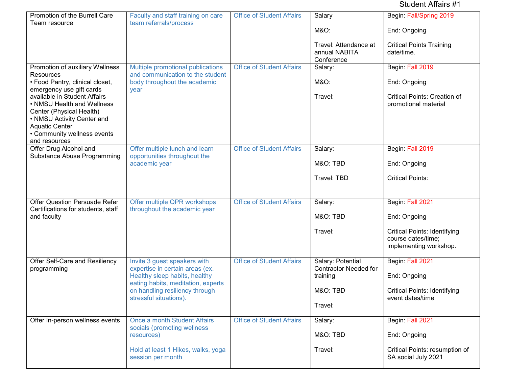Student Affairs #1

| Promotion of the Burrell Care                                                                                                                    | Faculty and staff training on care                                   | <b>Office of Student Affairs</b> | Salary                                               | Begin: Fall/Spring 2019                                                             |
|--------------------------------------------------------------------------------------------------------------------------------------------------|----------------------------------------------------------------------|----------------------------------|------------------------------------------------------|-------------------------------------------------------------------------------------|
| Team resource                                                                                                                                    | team referrals/process                                               |                                  | <b>M&amp;O:</b>                                      | End: Ongoing                                                                        |
|                                                                                                                                                  |                                                                      |                                  | Travel: Attendance at<br>annual NABITA<br>Conference | <b>Critical Points Training</b><br>date/time.                                       |
| Promotion of auxiliary Wellness                                                                                                                  | Multiple promotional publications                                    | <b>Office of Student Affairs</b> | Salary:                                              | Begin: Fall 2019                                                                    |
| Resources<br>• Food Pantry, clinical closet,                                                                                                     | and communication to the student<br>body throughout the academic     |                                  | <b>M&amp;O:</b>                                      | End: Ongoing                                                                        |
| emergency use gift cards<br>available in Student Affairs<br>• NMSU Health and Wellness<br>Center (Physical Health)<br>• NMSU Activity Center and | year                                                                 |                                  | Travel:                                              | <b>Critical Points: Creation of</b><br>promotional material                         |
| <b>Aquatic Center</b><br>• Community wellness events                                                                                             |                                                                      |                                  |                                                      |                                                                                     |
| and resources                                                                                                                                    |                                                                      |                                  |                                                      |                                                                                     |
| Offer Drug Alcohol and<br>Substance Abuse Programming                                                                                            | Offer multiple lunch and learn<br>opportunities throughout the       | <b>Office of Student Affairs</b> | Salary:                                              | Begin: Fall 2019                                                                    |
|                                                                                                                                                  | academic year                                                        |                                  | M&O: TBD                                             | End: Ongoing                                                                        |
|                                                                                                                                                  |                                                                      |                                  | Travel: TBD                                          | <b>Critical Points:</b>                                                             |
|                                                                                                                                                  |                                                                      |                                  |                                                      |                                                                                     |
| <b>Offer Question Persuade Refer</b>                                                                                                             | Offer multiple QPR workshops                                         | <b>Office of Student Affairs</b> | Salary:                                              | Begin: Fall 2021                                                                    |
| Certifications for students, staff<br>and faculty                                                                                                | throughout the academic year                                         |                                  | M&O: TBD                                             | End: Ongoing                                                                        |
|                                                                                                                                                  |                                                                      |                                  | Travel:                                              | <b>Critical Points: Identifying</b><br>course dates/time;<br>implementing workshop. |
| Offer Self-Care and Resiliency                                                                                                                   | Invite 3 guest speakers with<br>expertise in certain areas (ex.      | <b>Office of Student Affairs</b> | Salary: Potential<br><b>Contractor Needed for</b>    | Begin: Fall 2021                                                                    |
| programming                                                                                                                                      | Healthy sleep habits, healthy                                        |                                  | training                                             | End: Ongoing                                                                        |
|                                                                                                                                                  | eating habits, meditation, experts<br>on handling resiliency through |                                  | M&O: TBD                                             | <b>Critical Points: Identifying</b>                                                 |
|                                                                                                                                                  | stressful situations).                                               |                                  | Travel:                                              | event dates/time                                                                    |
| Offer In-person wellness events                                                                                                                  | Once a month Student Affairs                                         | <b>Office of Student Affairs</b> | Salary:                                              | Begin: Fall 2021                                                                    |
|                                                                                                                                                  | socials (promoting wellness<br>resources)                            |                                  | M&O: TBD                                             | End: Ongoing                                                                        |
|                                                                                                                                                  | Hold at least 1 Hikes, walks, yoga<br>session per month              |                                  | Travel:                                              | Critical Points: resumption of<br>SA social July 2021                               |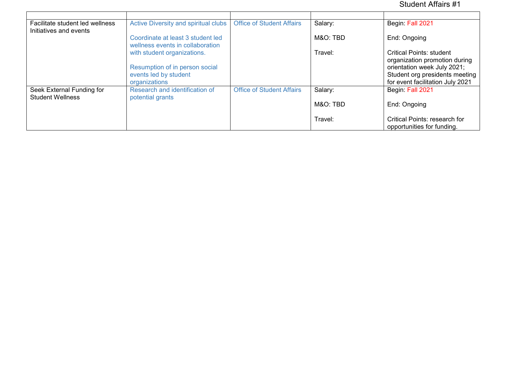### Student Affairs #1

| Facilitate student led wellness | Active Diversity and spiritual clubs                                  | <b>Office of Student Affairs</b> | Salary:  | Begin: Fall 2021                                              |
|---------------------------------|-----------------------------------------------------------------------|----------------------------------|----------|---------------------------------------------------------------|
| Initiatives and events          | Coordinate at least 3 student led<br>wellness events in collaboration |                                  | M&O: TBD | End: Ongoing                                                  |
|                                 | with student organizations.                                           |                                  | Travel:  | Critical Points: student<br>organization promotion during     |
|                                 | Resumption of in person social<br>events led by student               |                                  |          | orientation week July 2021;<br>Student org presidents meeting |
|                                 | organizations                                                         |                                  |          | for event facilitation July 2021                              |
| Seek External Funding for       | Research and identification of                                        | <b>Office of Student Affairs</b> | Salary:  | Begin: Fall 2021                                              |
| <b>Student Wellness</b>         | potential grants                                                      |                                  | M&O: TBD | End: Ongoing                                                  |
|                                 |                                                                       |                                  | Travel:  | Critical Points: research for<br>opportunities for funding.   |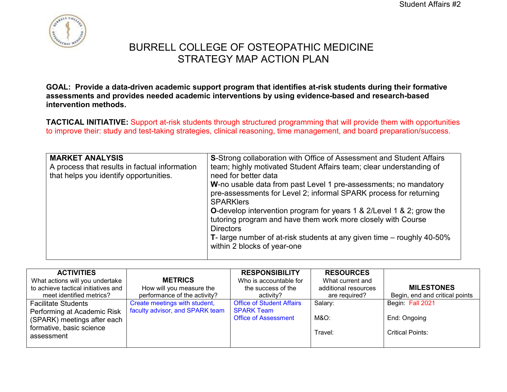

**GOAL: Provide a data-driven academic support program that identifies at-risk students during their formative assessments and provides needed academic interventions by using evidence-based and research-based intervention methods.**

**TACTICAL INITIATIVE:** Support at-risk students through structured programming that will provide them with opportunities to improve their: study and test-taking strategies, clinical reasoning, time management, and board preparation/success.

| W-no usable data from past Level 1 pre-assessments; no mandatory<br>pre-assessments for Level 2; informal SPARK process for returning<br><b>SPARKlers</b><br><b>O-develop intervention program for years 1 &amp; 2/Level 1 &amp; 2; grow the</b> |
|--------------------------------------------------------------------------------------------------------------------------------------------------------------------------------------------------------------------------------------------------|
| tutoring program and have them work more closely with Course<br><b>Directors</b>                                                                                                                                                                 |
| <b>T</b> - large number of at-risk students at any given time $-$ roughly 40-50%<br>within 2 blocks of year-one                                                                                                                                  |
|                                                                                                                                                                                                                                                  |

| <b>ACTIVITIES</b><br>What actions will you undertake<br>to achieve tactical initiatives and<br>meet identified metrics? | <b>METRICS</b><br>How will you measure the<br>performance of the activity? | <b>RESPONSIBILITY</b><br>Who is accountable for<br>the success of the<br>activity? | <b>RESOURCES</b><br>What current and<br>additional resources<br>are required? | <b>MILESTONES</b><br>Begin, end and critical points |
|-------------------------------------------------------------------------------------------------------------------------|----------------------------------------------------------------------------|------------------------------------------------------------------------------------|-------------------------------------------------------------------------------|-----------------------------------------------------|
| <b>Facilitate Students</b><br>Performing at Academic Risk                                                               | Create meetings with student,<br>faculty advisor, and SPARK team           | <b>Office of Student Affairs</b><br><b>SPARK Team</b>                              | Salary:                                                                       | Begin: Fall 2021                                    |
| (SPARK) meetings after each                                                                                             |                                                                            | <b>Office of Assessment</b>                                                        | M&O:                                                                          | End: Ongoing                                        |
| formative, basic science<br>assessment                                                                                  |                                                                            |                                                                                    | Travel:                                                                       | Critical Points:                                    |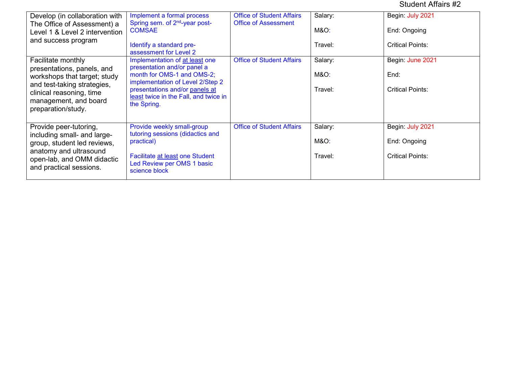### Student Affairs #2

| Develop (in collaboration with<br>The Office of Assessment) a<br>Level 1 & Level 2 intervention<br>and success program                                                                     | Implement a formal process<br>Spring sem. of 2 <sup>nd</sup> -year post-<br><b>COMSAE</b><br>Identify a standard pre-<br>assessment for Level 2                                                                           | <b>Office of Student Affairs</b><br><b>Office of Assessment</b> | Salary:<br>M&O:<br>Travel:            | Begin: July 2021<br>End: Ongoing<br><b>Critical Points:</b> |
|--------------------------------------------------------------------------------------------------------------------------------------------------------------------------------------------|---------------------------------------------------------------------------------------------------------------------------------------------------------------------------------------------------------------------------|-----------------------------------------------------------------|---------------------------------------|-------------------------------------------------------------|
| Facilitate monthly<br>presentations, panels, and<br>workshops that target; study<br>and test-taking strategies,<br>clinical reasoning, time<br>management, and board<br>preparation/study. | Implementation of at least one<br>presentation and/or panel a<br>month for OMS-1 and OMS-2;<br>implementation of Level 2/Step 2<br>presentations and/or panels at<br>least twice in the Fall, and twice in<br>the Spring. | <b>Office of Student Affairs</b>                                | Salary:<br><b>M&amp;O:</b><br>Travel: | Begin: June 2021<br>End:<br><b>Critical Points:</b>         |
| Provide peer-tutoring,<br>including small- and large-<br>group, student led reviews,<br>anatomy and ultrasound<br>open-lab, and OMM didactic<br>and practical sessions.                    | Provide weekly small-group<br>tutoring sessions (didactics and<br>practical)<br>Facilitate at least one Student<br>Led Review per OMS 1 basic<br>science block                                                            | <b>Office of Student Affairs</b>                                | Salary:<br><b>M&amp;O:</b><br>Travel: | Begin: July 2021<br>End: Ongoing<br><b>Critical Points:</b> |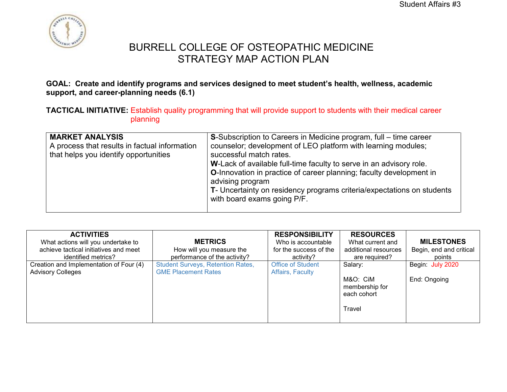

### **GOAL: Create and identify programs and services designed to meet student's health, wellness, academic support, and career-planning needs (6.1)**

**TACTICAL INITIATIVE:** Establish quality programming that will provide support to students with their medical career planning

| <b>MARKET ANALYSIS</b><br>A process that results in factual information<br>that helps you identify opportunities | <b>S</b> -Subscription to Careers in Medicine program, full – time career<br>counselor; development of LEO platform with learning modules;<br>successful match rates.<br>W-Lack of available full-time faculty to serve in an advisory role.<br><b>O-Innovation in practice of career planning; faculty development in</b><br>advising program<br>T- Uncertainty on residency programs criteria/expectations on students<br>with board exams going P/F. |
|------------------------------------------------------------------------------------------------------------------|---------------------------------------------------------------------------------------------------------------------------------------------------------------------------------------------------------------------------------------------------------------------------------------------------------------------------------------------------------------------------------------------------------------------------------------------------------|
|------------------------------------------------------------------------------------------------------------------|---------------------------------------------------------------------------------------------------------------------------------------------------------------------------------------------------------------------------------------------------------------------------------------------------------------------------------------------------------------------------------------------------------------------------------------------------------|

| <b>ACTIVITIES</b><br>What actions will you undertake to<br>achieve tactical initiatives and meet<br>identified metrics? | <b>METRICS</b><br>How will you measure the<br>performance of the activity? | <b>RESPONSIBILITY</b><br>Who is accountable<br>for the success of the<br>activity? | <b>RESOURCES</b><br>What current and<br>additional resources<br>are required? | <b>MILESTONES</b><br>Begin, end and critical<br>points |
|-------------------------------------------------------------------------------------------------------------------------|----------------------------------------------------------------------------|------------------------------------------------------------------------------------|-------------------------------------------------------------------------------|--------------------------------------------------------|
| Creation and Implementation of Four (4)<br><b>Advisory Colleges</b>                                                     | <b>Student Surveys, Retention Rates,</b><br><b>GME Placement Rates</b>     | <b>Office of Student</b><br>Affairs, Faculty                                       | Salary:<br>M&O: CiM<br>membership for<br>each cohort<br>Travel                | Begin: July 2020<br>End: Ongoing                       |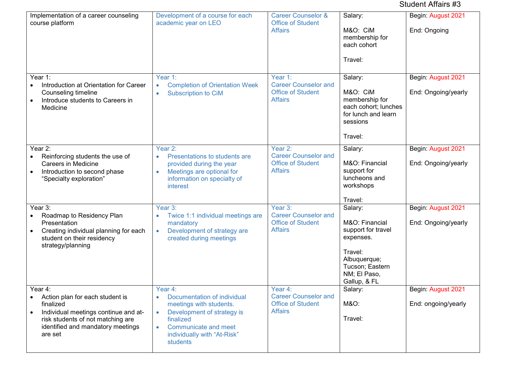### Student Affairs #3

| Implementation of a career counseling<br>course platform                                                                                                                             | Development of a course for each<br>academic year on LEO                                                                                                                        | <b>Career Counselor &amp;</b><br><b>Office of Student</b><br><b>Affairs</b>          | Salary:<br>M&O: CiM<br>membership for<br>each cohort<br>Travel:                                                                            | Begin: August 2021<br>End: Ongoing        |
|--------------------------------------------------------------------------------------------------------------------------------------------------------------------------------------|---------------------------------------------------------------------------------------------------------------------------------------------------------------------------------|--------------------------------------------------------------------------------------|--------------------------------------------------------------------------------------------------------------------------------------------|-------------------------------------------|
| Year 1:<br>Introduction at Orientation for Career<br>$\bullet$<br>Counseling timeline<br>Introduce students to Careers in<br>$\bullet$<br>Medicine                                   | Year 1:<br><b>Completion of Orientation Week</b><br>$\bullet$<br><b>Subscription to CiM</b><br>$\bullet$                                                                        | Year 1:<br><b>Career Counselor and</b><br><b>Office of Student</b><br><b>Affairs</b> | Salary:<br>M&O: CiM<br>membership for<br>each cohort; lunches<br>for lunch and learn<br>sessions<br>Travel:                                | Begin: August 2021<br>End: Ongoing/yearly |
| Year 2:<br>Reinforcing students the use of<br><b>Careers in Medicine</b><br>Introduction to second phase<br>"Specialty exploration"                                                  | Year 2:<br>Presentations to students are<br>$\bullet$<br>provided during the year<br>Meetings are optional for<br>$\bullet$<br>information on specialty of<br>interest          | Year 2:<br><b>Career Counselor and</b><br><b>Office of Student</b><br><b>Affairs</b> | Salary:<br>M&O: Financial<br>support for<br>luncheons and<br>workshops<br>Travel:                                                          | Begin: August 2021<br>End: Ongoing/yearly |
| Year 3:<br>Roadmap to Residency Plan<br>$\bullet$<br>Presentation<br>Creating individual planning for each<br>$\bullet$<br>student on their residency<br>strategy/planning           | Year 3:<br>Twice 1:1 individual meetings are<br>$\bullet$<br>mandatory<br>Development of strategy are<br>$\bullet$<br>created during meetings                                   | Year 3:<br><b>Career Counselor and</b><br><b>Office of Student</b><br><b>Affairs</b> | Salary:<br>M&O: Financial<br>support for travel<br>expenses.<br>Travel:<br>Albuquerque;<br>Tucson; Eastern<br>NM; El Paso,<br>Gallup, & FL | Begin: August 2021<br>End: Ongoing/yearly |
| Year 4:<br>Action plan for each student is<br>finalized<br>Individual meetings continue and at-<br>risk students of not matching are<br>identified and mandatory meetings<br>are set | Year 4:<br>Documentation of individual<br>meetings with students.<br>Development of strategy is<br>finalized<br>Communicate and meet<br>individually with "At-Risk"<br>students | Year 4:<br><b>Career Counselor and</b><br><b>Office of Student</b><br><b>Affairs</b> | Salary:<br>M&O:<br>Travel:                                                                                                                 | Begin: August 2021<br>End: ongoing/yearly |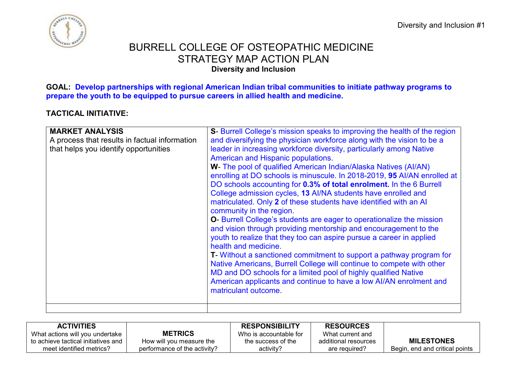

### BURRELL COLLEGE OF OSTEOPATHIC MEDICINE STRATEGY MAP ACTION PLAN **Diversity and Inclusion**

**GOAL: Develop partnerships with regional American Indian tribal communities to initiate pathway programs to prepare the youth to be equipped to pursue careers in allied health and medicine.** 

### **TACTICAL INITIATIVE:**

| <b>MARKET ANALYSIS</b><br>A process that results in factual information<br>that helps you identify opportunities | S- Burrell College's mission speaks to improving the health of the region<br>and diversifying the physician workforce along with the vision to be a<br>leader in increasing workforce diversity, particularly among Native<br>American and Hispanic populations.<br>W- The pool of qualified American Indian/Alaska Natives (Al/AN)<br>enrolling at DO schools is minuscule. In 2018-2019, 95 AI/AN enrolled at<br>DO schools accounting for 0.3% of total enrolment. In the 6 Burrell<br>College admission cycles, 13 Al/NA students have enrolled and<br>matriculated. Only 2 of these students have identified with an Al<br>community in the region.<br><b>O</b> -Burrell College's students are eager to operationalize the mission<br>and vision through providing mentorship and encouragement to the<br>youth to realize that they too can aspire pursue a career in applied<br>health and medicine.<br><b>T</b> - Without a sanctioned commitment to support a pathway program for<br>Native Americans, Burrell College will continue to compete with other<br>MD and DO schools for a limited pool of highly qualified Native<br>American applicants and continue to have a low AI/AN enrolment and |
|------------------------------------------------------------------------------------------------------------------|---------------------------------------------------------------------------------------------------------------------------------------------------------------------------------------------------------------------------------------------------------------------------------------------------------------------------------------------------------------------------------------------------------------------------------------------------------------------------------------------------------------------------------------------------------------------------------------------------------------------------------------------------------------------------------------------------------------------------------------------------------------------------------------------------------------------------------------------------------------------------------------------------------------------------------------------------------------------------------------------------------------------------------------------------------------------------------------------------------------------------------------------------------------------------------------------------------------|
|                                                                                                                  | matriculant outcome.                                                                                                                                                                                                                                                                                                                                                                                                                                                                                                                                                                                                                                                                                                                                                                                                                                                                                                                                                                                                                                                                                                                                                                                          |

| <b>ACTIVITIES</b>                   |                              | <b>RESPONSIBILITY</b>  | <b>RESOURCES</b>     |                                |
|-------------------------------------|------------------------------|------------------------|----------------------|--------------------------------|
| What actions will you undertake     | <b>METRICS</b>               | Who is accountable for | What current and     |                                |
| to achieve tactical initiatives and | How will you measure the     | the success of the     | additional resources | <b>MILESTONES</b>              |
| meet identified metrics?            | performance of the activity? | activity?              | are required?        | Begin, end and critical points |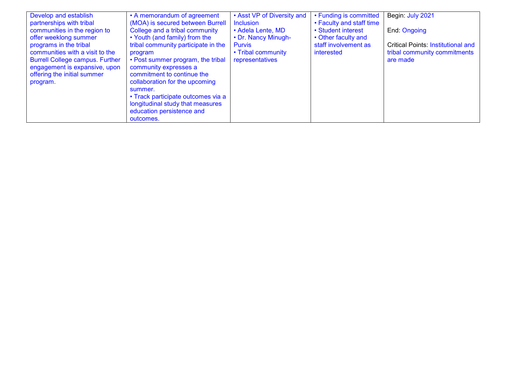| Develop and establish                  | • A memorandum of agreement         | • Asst VP of Diversity and | • Funding is committed   | Begin: July 2021                          |
|----------------------------------------|-------------------------------------|----------------------------|--------------------------|-------------------------------------------|
| partnerships with tribal               | (MOA) is secured between Burrell    | <b>Inclusion</b>           | • Faculty and staff time |                                           |
| communities in the region to           | College and a tribal community      | • Adela Lente, MD          | • Student interest       | End: Ongoing                              |
| offer weeklong summer                  | • Youth (and family) from the       | • Dr. Nancy Minugh-        | • Other faculty and      |                                           |
| programs in the tribal                 | tribal community participate in the | <b>Purvis</b>              | staff involvement as     | <b>Critical Points: Institutional and</b> |
| communities with a visit to the        | program                             | • Tribal community         | interested               | tribal community commitments              |
| <b>Burrell College campus. Further</b> | • Post summer program, the tribal   | representatives            |                          | are made                                  |
| engagement is expansive, upon          | community expresses a               |                            |                          |                                           |
| offering the initial summer            | commitment to continue the          |                            |                          |                                           |
| program.                               | collaboration for the upcoming      |                            |                          |                                           |
|                                        | summer.                             |                            |                          |                                           |
|                                        | • Track participate outcomes via a  |                            |                          |                                           |
|                                        | longitudinal study that measures    |                            |                          |                                           |
|                                        | education persistence and           |                            |                          |                                           |
|                                        | outcomes.                           |                            |                          |                                           |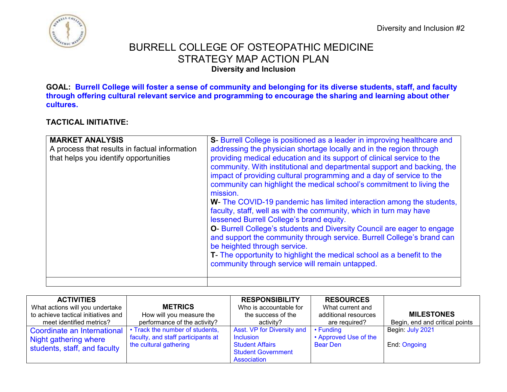Diversity and Inclusion #2



### BURRELL COLLEGE OF OSTEOPATHIC MEDICINE STRATEGY MAP ACTION PLAN **Diversity and Inclusion**

**GOAL: Burrell College will foster a sense of community and belonging for its diverse students, staff, and faculty through offering cultural relevant service and programming to encourage the sharing and learning about other cultures.**

### **TACTICAL INITIATIVE:**

| <b>MARKET ANALYSIS</b><br>A process that results in factual information<br>that helps you identify opportunities | S- Burrell College is positioned as a leader in improving healthcare and<br>addressing the physician shortage locally and in the region through<br>providing medical education and its support of clinical service to the<br>community. With institutional and departmental support and backing, the<br>impact of providing cultural programming and a day of service to the<br>community can highlight the medical school's commitment to living the<br>mission.<br>W- The COVID-19 pandemic has limited interaction among the students,<br>faculty, staff, well as with the community, which in turn may have<br>lessened Burrell College's brand equity.<br>O- Burrell College's students and Diversity Council are eager to engage<br>and support the community through service. Burrell College's brand can<br>be heighted through service.<br>T- The opportunity to highlight the medical school as a benefit to the<br>community through service will remain untapped. |
|------------------------------------------------------------------------------------------------------------------|-------------------------------------------------------------------------------------------------------------------------------------------------------------------------------------------------------------------------------------------------------------------------------------------------------------------------------------------------------------------------------------------------------------------------------------------------------------------------------------------------------------------------------------------------------------------------------------------------------------------------------------------------------------------------------------------------------------------------------------------------------------------------------------------------------------------------------------------------------------------------------------------------------------------------------------------------------------------------------|
|------------------------------------------------------------------------------------------------------------------|-------------------------------------------------------------------------------------------------------------------------------------------------------------------------------------------------------------------------------------------------------------------------------------------------------------------------------------------------------------------------------------------------------------------------------------------------------------------------------------------------------------------------------------------------------------------------------------------------------------------------------------------------------------------------------------------------------------------------------------------------------------------------------------------------------------------------------------------------------------------------------------------------------------------------------------------------------------------------------|

| <b>ACTIVITIES</b>                   |                                    | <b>RESPONSIBILITY</b>      | <b>RESOURCES</b>      |                                |
|-------------------------------------|------------------------------------|----------------------------|-----------------------|--------------------------------|
| What actions will you undertake     | <b>METRICS</b>                     | Who is accountable for     | What current and      |                                |
| to achieve tactical initiatives and | How will you measure the           | the success of the         | additional resources  | <b>MILESTONES</b>              |
| meet identified metrics?            | performance of the activity?       | activity?                  | are required?         | Begin, end and critical points |
| Coordinate an International         | • Track the number of students,    | Asst. VP for Diversity and | • Funding             | Begin: July 2021               |
| Night gathering where               | faculty, and staff participants at | <b>Inclusion</b>           | • Approved Use of the |                                |
| students, staff, and faculty        | the cultural gathering             | <b>Student Affairs</b>     | <b>Bear Den</b>       | End: Ongoing                   |
|                                     |                                    | <b>Student Government</b>  |                       |                                |
|                                     |                                    | Association                |                       |                                |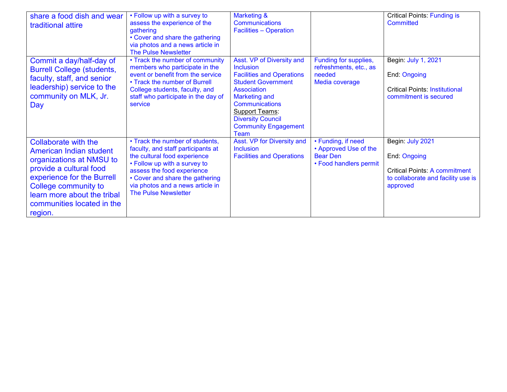| share a food dish and wear<br>traditional attire                                                                                                                                                                                            | • Follow up with a survey to<br>assess the experience of the<br>gathering<br>• Cover and share the gathering<br>via photos and a news article in<br><b>The Pulse Newsletter</b>                                                                                           | <b>Marketing &amp;</b><br><b>Communications</b><br><b>Facilities - Operation</b>                                                                                                                                                                                                  |                                                                                          | <b>Critical Points: Funding is</b><br>Committed                                                                            |
|---------------------------------------------------------------------------------------------------------------------------------------------------------------------------------------------------------------------------------------------|---------------------------------------------------------------------------------------------------------------------------------------------------------------------------------------------------------------------------------------------------------------------------|-----------------------------------------------------------------------------------------------------------------------------------------------------------------------------------------------------------------------------------------------------------------------------------|------------------------------------------------------------------------------------------|----------------------------------------------------------------------------------------------------------------------------|
| Commit a day/half-day of<br><b>Burrell College (students,</b><br>faculty, staff, and senior<br>leadership) service to the<br>community on MLK, Jr.<br>Day                                                                                   | • Track the number of community<br>members who participate in the<br>event or benefit from the service<br>• Track the number of Burrell<br>College students, faculty, and<br>staff who participate in the day of<br>service                                               | Asst. VP of Diversity and<br><b>Inclusion</b><br><b>Facilities and Operations</b><br><b>Student Government</b><br><b>Association</b><br><b>Marketing and</b><br><b>Communications</b><br><b>Support Teams:</b><br><b>Diversity Council</b><br><b>Community Engagement</b><br>Team | Funding for supplies,<br>refreshments, etc., as<br>needed<br>Media coverage              | Begin: July 1, 2021<br>End: Ongoing<br><b>Critical Points: Institutional</b><br>commitment is secured                      |
| <b>Collaborate with the</b><br>American Indian student<br>organizations at NMSU to<br>provide a cultural food<br>experience for the Burrell<br>College community to<br>learn more about the tribal<br>communities located in the<br>region. | • Track the number of students,<br>faculty, and staff participants at<br>the cultural food experience<br>• Follow up with a survey to<br>assess the food experience<br>• Cover and share the gathering<br>via photos and a news article in<br><b>The Pulse Newsletter</b> | Asst. VP for Diversity and<br><b>Inclusion</b><br><b>Facilities and Operations</b>                                                                                                                                                                                                | • Funding, if need<br>• Approved Use of the<br><b>Bear Den</b><br>• Food handlers permit | Begin: July 2021<br>End: Ongoing<br><b>Critical Points: A commitment</b><br>to collaborate and facility use is<br>approved |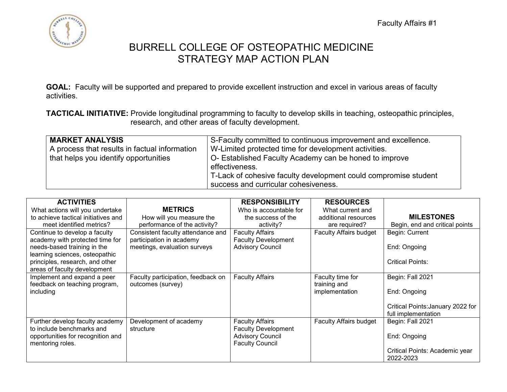

**GOAL:** Faculty will be supported and prepared to provide excellent instruction and excel in various areas of faculty activities.

**TACTICAL INITIATIVE:** Provide longitudinal programming to faculty to develop skills in teaching, osteopathic principles, research, and other areas of faculty development.

| <b>MARKET ANALYSIS</b>                        | S-Faculty committed to continuous improvement and excellence.   |
|-----------------------------------------------|-----------------------------------------------------------------|
| A process that results in factual information | W-Limited protected time for development activities.            |
| that helps you identify opportunities         | O- Established Faculty Academy can be honed to improve          |
|                                               | effectiveness.                                                  |
|                                               | T-Lack of cohesive faculty development could compromise student |
|                                               | success and curricular cohesiveness.                            |

| <b>ACTIVITIES</b>                   |                                    | <b>RESPONSIBILITY</b>      | <b>RESOURCES</b>              |                                   |
|-------------------------------------|------------------------------------|----------------------------|-------------------------------|-----------------------------------|
| What actions will you undertake     | <b>METRICS</b>                     | Who is accountable for     | What current and              |                                   |
| to achieve tactical initiatives and | How will you measure the           | the success of the         | additional resources          | <b>MILESTONES</b>                 |
| meet identified metrics?            | performance of the activity?       | activity?                  | are required?                 | Begin, end and critical points    |
| Continue to develop a faculty       | Consistent faculty attendance and  | <b>Faculty Affairs</b>     | <b>Faculty Affairs budget</b> | Begin: Current                    |
| academy with protected time for     | participation in academy           | <b>Faculty Development</b> |                               |                                   |
| needs-based training in the         | meetings, evaluation surveys       | <b>Advisory Council</b>    |                               | End: Ongoing                      |
| learning sciences, osteopathic      |                                    |                            |                               |                                   |
| principles, research, and other     |                                    |                            |                               | <b>Critical Points:</b>           |
| areas of faculty development        |                                    |                            |                               |                                   |
| Implement and expand a peer         | Faculty participation, feedback on | <b>Faculty Affairs</b>     | Faculty time for              | Begin: Fall 2021                  |
| feedback on teaching program,       | outcomes (survey)                  |                            | training and                  |                                   |
| including                           |                                    |                            | implementation                | End: Ongoing                      |
|                                     |                                    |                            |                               |                                   |
|                                     |                                    |                            |                               | Critical Points: January 2022 for |
|                                     |                                    |                            |                               | full implementation               |
| Further develop faculty academy     | Development of academy             | <b>Faculty Affairs</b>     | <b>Faculty Affairs budget</b> | Begin: Fall 2021                  |
| to include benchmarks and           | structure                          | <b>Faculty Development</b> |                               |                                   |
| opportunities for recognition and   |                                    | <b>Advisory Council</b>    |                               | End: Ongoing                      |
| mentoring roles.                    |                                    | <b>Faculty Council</b>     |                               |                                   |
|                                     |                                    |                            |                               | Critical Points: Academic year    |
|                                     |                                    |                            |                               | 2022-2023                         |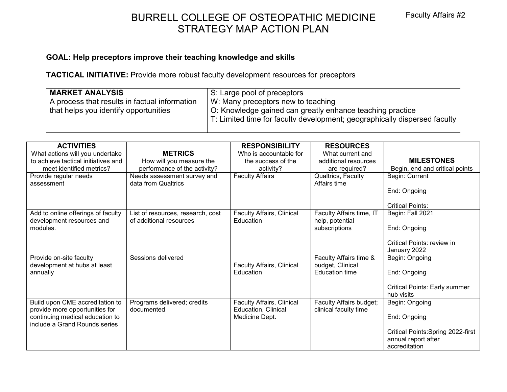# BURRELL COLLEGE OF OSTEOPATHIC MEDICINE Faculty Affairs #2 STRATEGY MAP ACTION PLAN

### **GOAL: Help preceptors improve their teaching knowledge and skills**

**TACTICAL INITIATIVE:** Provide more robust faculty development resources for preceptors

| <b>MARKET ANALYSIS</b>                                                                 | S: Large pool of preceptors                                                                                                                                                  |
|----------------------------------------------------------------------------------------|------------------------------------------------------------------------------------------------------------------------------------------------------------------------------|
| A process that results in factual information<br>that helps you identify opportunities | W: Many preceptors new to teaching<br>O: Knowledge gained can greatly enhance teaching practice<br>T: Limited time for faculty development; geographically dispersed faculty |
|                                                                                        |                                                                                                                                                                              |

| <b>ACTIVITIES</b>                                                |                                   | <b>RESPONSIBILITY</b>            | <b>RESOURCES</b>         |                                      |
|------------------------------------------------------------------|-----------------------------------|----------------------------------|--------------------------|--------------------------------------|
| What actions will you undertake                                  | <b>METRICS</b>                    | Who is accountable for           | What current and         |                                      |
| to achieve tactical initiatives and                              | How will you measure the          | the success of the               | additional resources     | <b>MILESTONES</b>                    |
| meet identified metrics?                                         | performance of the activity?      | activity?                        | are required?            | Begin, end and critical points       |
| Provide regular needs                                            | Needs assessment survey and       | <b>Faculty Affairs</b>           | Qualtrics, Faculty       | Begin: Current                       |
| assessment                                                       | data from Qualtrics               |                                  | Affairs time             |                                      |
|                                                                  |                                   |                                  |                          | End: Ongoing                         |
|                                                                  |                                   |                                  |                          |                                      |
|                                                                  |                                   |                                  |                          | <b>Critical Points:</b>              |
| Add to online offerings of faculty                               | List of resources, research, cost | <b>Faculty Affairs, Clinical</b> | Faculty Affairs time, IT | Begin: Fall 2021                     |
| development resources and                                        | of additional resources           | Education                        | help, potential          |                                      |
| modules.                                                         |                                   |                                  | subscriptions            | End: Ongoing                         |
|                                                                  |                                   |                                  |                          |                                      |
|                                                                  |                                   |                                  |                          | Critical Points: review in           |
|                                                                  |                                   |                                  |                          | January 2022                         |
| Provide on-site faculty                                          | Sessions delivered                |                                  | Faculty Affairs time &   | Begin: Ongoing                       |
| development at hubs at least                                     |                                   | <b>Faculty Affairs, Clinical</b> | budget, Clinical         |                                      |
| annually                                                         |                                   | Education                        | <b>Education time</b>    | End: Ongoing                         |
|                                                                  |                                   |                                  |                          |                                      |
|                                                                  |                                   |                                  |                          | <b>Critical Points: Early summer</b> |
|                                                                  |                                   |                                  |                          | hub visits                           |
| Build upon CME accreditation to                                  | Programs delivered; credits       | <b>Faculty Affairs, Clinical</b> | Faculty Affairs budget;  | Begin: Ongoing                       |
| provide more opportunities for                                   | documented                        | <b>Education, Clinical</b>       | clinical faculty time    |                                      |
| continuing medical education to<br>include a Grand Rounds series |                                   | Medicine Dept.                   |                          | End: Ongoing                         |
|                                                                  |                                   |                                  |                          | Critical Points: Spring 2022-first   |
|                                                                  |                                   |                                  |                          | annual report after                  |
|                                                                  |                                   |                                  |                          | accreditation                        |
|                                                                  |                                   |                                  |                          |                                      |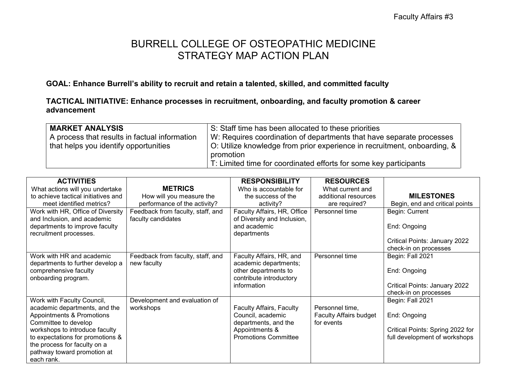### **GOAL: Enhance Burrell's ability to recruit and retain a talented, skilled, and committed faculty**

### **TACTICAL INITIATIVE: Enhance processes in recruitment, onboarding, and faculty promotion & career advancement**

| <b>MARKET ANALYSIS</b>                        | S: Staff time has been allocated to these priorities                     |
|-----------------------------------------------|--------------------------------------------------------------------------|
| A process that results in factual information | W: Requires coordination of departments that have separate processes     |
| that helps you identify opportunities         | O: Utilize knowledge from prior experience in recruitment, onboarding, & |
|                                               | promotion                                                                |
|                                               | T: Limited time for coordinated efforts for some key participants        |

| <b>ACTIVITIES</b>                   |                                   | <b>RESPONSIBILITY</b>       | <b>RESOURCES</b>              |                                  |
|-------------------------------------|-----------------------------------|-----------------------------|-------------------------------|----------------------------------|
| What actions will you undertake     | <b>METRICS</b>                    | Who is accountable for      | What current and              |                                  |
| to achieve tactical initiatives and | How will you measure the          | the success of the          | additional resources          | <b>MILESTONES</b>                |
| meet identified metrics?            | performance of the activity?      | activity?                   | are required?                 | Begin, end and critical points   |
| Work with HR, Office of Diversity   | Feedback from faculty, staff, and | Faculty Affairs, HR, Office | Personnel time                | Begin: Current                   |
| and Inclusion, and academic         | faculty candidates                | of Diversity and Inclusion, |                               |                                  |
| departments to improve faculty      |                                   | and academic                |                               | End: Ongoing                     |
| recruitment processes.              |                                   | departments                 |                               |                                  |
|                                     |                                   |                             |                               | Critical Points: January 2022    |
|                                     |                                   |                             |                               | check-in on processes            |
| Work with HR and academic           | Feedback from faculty, staff, and | Faculty Affairs, HR, and    | Personnel time                | Begin: Fall 2021                 |
| departments to further develop a    | new faculty                       | academic departments;       |                               |                                  |
| comprehensive faculty               |                                   | other departments to        |                               | End: Ongoing                     |
| onboarding program.                 |                                   | contribute introductory     |                               |                                  |
|                                     |                                   | information                 |                               | Critical Points: January 2022    |
|                                     |                                   |                             |                               | check-in on processes            |
| Work with Faculty Council,          | Development and evaluation of     |                             |                               | Begin: Fall 2021                 |
| academic departments, and the       | workshops                         | Faculty Affairs, Faculty    | Personnel time,               |                                  |
| Appointments & Promotions           |                                   | Council, academic           | <b>Faculty Affairs budget</b> | End: Ongoing                     |
| Committee to develop                |                                   | departments, and the        | for events                    |                                  |
| workshops to introduce faculty      |                                   | Appointments &              |                               | Critical Points: Spring 2022 for |
| to expectations for promotions &    |                                   | <b>Promotions Committee</b> |                               | full development of workshops    |
| the process for faculty on a        |                                   |                             |                               |                                  |
| pathway toward promotion at         |                                   |                             |                               |                                  |
| each rank.                          |                                   |                             |                               |                                  |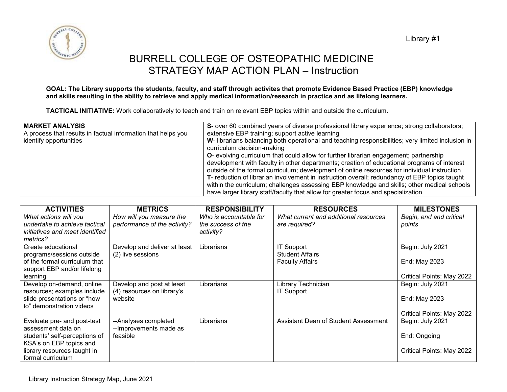Library #1



### BURRELL COLLEGE OF OSTEOPATHIC MEDICINE STRATEGY MAP ACTION PLAN – Instruction

#### **GOAL: The Library supports the students, faculty, and staff through activites that promote Evidence Based Practice (EBP) knowledge and skills resulting in the ability to retrieve and apply medical information/research in practice and as lifelong learners.**

**TACTICAL INITIATIVE:** Work collaboratively to teach and train on relevant EBP topics within and outside the curriculum.

| <b>MARKET ANALYSIS</b><br>A process that results in factual information that helps you<br>identify opportunities | S- over 60 combined years of diverse professional library experience; strong collaborators;<br>extensive EBP training; support active learning<br>W- librarians balancing both operational and teaching responsibilities; very limited inclusion in<br>curriculum decision-making<br><b>O</b> - evolving curriculum that could allow for further librarian engagement; partnership<br>development with faculty in other departments; creation of educational programs of interest<br>outside of the formal curriculum; development of online resources for individual instruction<br>T- reduction of librarian involvement in instruction overall; redundancy of EBP topics taught<br>within the curriculum; challenges assessing EBP knowledge and skills; other medical schools<br>have larger library staff/faculty that allow for greater focus and specialization |
|------------------------------------------------------------------------------------------------------------------|------------------------------------------------------------------------------------------------------------------------------------------------------------------------------------------------------------------------------------------------------------------------------------------------------------------------------------------------------------------------------------------------------------------------------------------------------------------------------------------------------------------------------------------------------------------------------------------------------------------------------------------------------------------------------------------------------------------------------------------------------------------------------------------------------------------------------------------------------------------------|
|------------------------------------------------------------------------------------------------------------------|------------------------------------------------------------------------------------------------------------------------------------------------------------------------------------------------------------------------------------------------------------------------------------------------------------------------------------------------------------------------------------------------------------------------------------------------------------------------------------------------------------------------------------------------------------------------------------------------------------------------------------------------------------------------------------------------------------------------------------------------------------------------------------------------------------------------------------------------------------------------|

| <b>ACTIVITIES</b>                                                                         | <b>METRICS</b>                                           | <b>RESPONSIBILITY</b>                        | <b>RESOURCES</b>                                       | <b>MILESTONES</b>                 |
|-------------------------------------------------------------------------------------------|----------------------------------------------------------|----------------------------------------------|--------------------------------------------------------|-----------------------------------|
| What actions will you<br>undertake to achieve tactical                                    | How will you measure the<br>performance of the activity? | Who is accountable for<br>the success of the | What current and additional resources<br>are required? | Begin, end and critical<br>points |
| initiatives and meet identified<br>metrics?                                               |                                                          | activity?                                    |                                                        |                                   |
| Create educational                                                                        | Develop and deliver at least                             | Librarians                                   | <b>IT Support</b>                                      | Begin: July 2021                  |
| programs/sessions outside<br>of the formal curriculum that<br>support EBP and/or lifelong | (2) live sessions                                        |                                              | <b>Student Affairs</b><br><b>Faculty Affairs</b>       | End: May 2023                     |
| learning                                                                                  |                                                          |                                              |                                                        | Critical Points: May 2022         |
| Develop on-demand, online<br>resources; examples include                                  | Develop and post at least<br>(4) resources on library's  | Librarians                                   | Library Technician<br><b>IT Support</b>                | Begin: July 2021                  |
| slide presentations or "how<br>to" demonstration videos                                   | website                                                  |                                              |                                                        | End: May 2023                     |
|                                                                                           |                                                          |                                              |                                                        | Critical Points: May 2022         |
| Evaluate pre- and post-test<br>assessment data on                                         | --Analyses completed<br>--Improvements made as           | Librarians                                   | Assistant Dean of Student Assessment                   | Begin: July 2021                  |
| students' self-perceptions of                                                             | feasible                                                 |                                              |                                                        | End: Ongoing                      |
| KSA's on EBP topics and<br>library resources taught in                                    |                                                          |                                              |                                                        | Critical Points: May 2022         |
| formal curriculum                                                                         |                                                          |                                              |                                                        |                                   |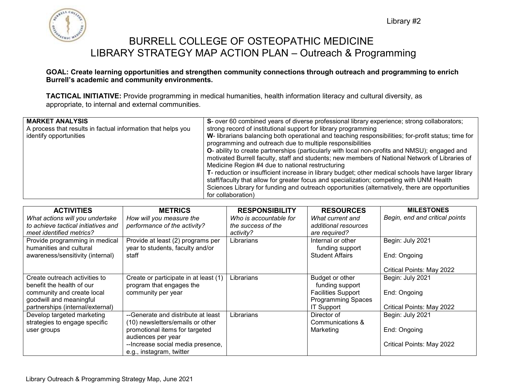

### BURRELL COLLEGE OF OSTEOPATHIC MEDICINE LIBRARY STRATEGY MAP ACTION PLAN – Outreach & Programming

#### **GOAL: Create learning opportunities and strengthen community connections through outreach and programming to enrich Burrell's academic and community environments.**

**TACTICAL INITIATIVE:** Provide programming in medical humanities, health information literacy and cultural diversity, as appropriate, to internal and external communities.

| <b>MARKET ANALYSIS</b>                                       | S- over 60 combined years of diverse professional library experience; strong collaborators;           |
|--------------------------------------------------------------|-------------------------------------------------------------------------------------------------------|
| A process that results in factual information that helps you | strong record of institutional support for library programming                                        |
| identify opportunities                                       | W- librarians balancing both operational and teaching responsibilities; for-profit status; time for   |
|                                                              | programming and outreach due to multiple responsibilities                                             |
|                                                              | <b>O</b> - ability to create partnerships (particularly with local non-profits and NMSU); engaged and |
|                                                              | motivated Burrell faculty, staff and students; new members of National Network of Libraries of        |
|                                                              | Medicine Region #4 due to national restructuring                                                      |
|                                                              | T- reduction or insufficient increase in library budget; other medical schools have larger library    |
|                                                              | staff/faculty that allow for greater focus and specialization; competing with UNM Health              |
|                                                              | Sciences Library for funding and outreach opportunities (alternatively, there are opportunities       |
|                                                              | for collaboration)                                                                                    |

| <b>ACTIVITIES</b>                                                      | <b>METRICS</b>                                           | <b>RESPONSIBILITY</b>                        | <b>RESOURCES</b>                          | <b>MILESTONES</b>              |
|------------------------------------------------------------------------|----------------------------------------------------------|----------------------------------------------|-------------------------------------------|--------------------------------|
| What actions will you undertake<br>to achieve tactical initiatives and | How will you measure the<br>performance of the activity? | Who is accountable for<br>the success of the | What current and<br>additional resources  | Begin, end and critical points |
| meet identified metrics?                                               |                                                          | activity?                                    | are required?                             |                                |
| Provide programming in medical                                         | Provide at least (2) programs per                        | Librarians                                   | Internal or other                         | Begin: July 2021               |
| humanities and cultural<br>awareness/sensitivity (internal)            | year to students, faculty and/or<br>staff                |                                              | funding support<br><b>Student Affairs</b> | End: Ongoing                   |
|                                                                        |                                                          |                                              |                                           |                                |
|                                                                        |                                                          |                                              |                                           | Critical Points: May 2022      |
| Create outreach activities to                                          | Create or participate in at least (1)                    | Librarians                                   | Budget or other                           | Begin: July 2021               |
| benefit the health of our                                              | program that engages the                                 |                                              | funding support                           |                                |
| community and create local                                             | community per year                                       |                                              | <b>Facilities Support</b>                 | End: Ongoing                   |
| goodwill and meaningful                                                |                                                          |                                              | <b>Programming Spaces</b>                 |                                |
| partnerships (internal/external)                                       |                                                          |                                              | <b>IT Support</b>                         | Critical Points: May 2022      |
| Develop targeted marketing                                             | --Generate and distribute at least                       | Librarians                                   | Director of                               | Begin: July 2021               |
| strategies to engage specific                                          | (10) newsletters/emails or other                         |                                              | Communications &                          |                                |
| user groups                                                            | promotional items for targeted                           |                                              | Marketing                                 | End: Ongoing                   |
|                                                                        | audiences per year                                       |                                              |                                           |                                |
|                                                                        | --Increase social media presence,                        |                                              |                                           | Critical Points: May 2022      |
|                                                                        | e.g., instagram, twitter                                 |                                              |                                           |                                |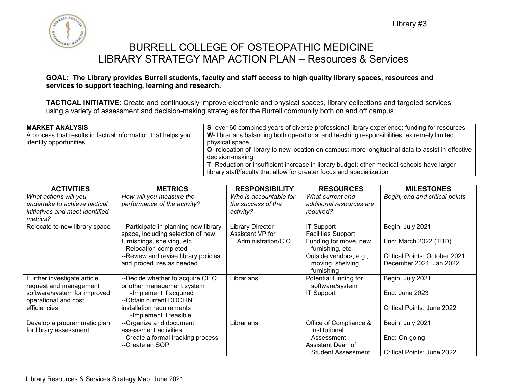

### BURRELL COLLEGE OF OSTEOPATHIC MEDICINE LIBRARY STRATEGY MAP ACTION PLAN – Resources & Services

#### **GOAL: The Library provides Burrell students, faculty and staff access to high quality library spaces, resources and services to support teaching, learning and research.**

**TACTICAL INITIATIVE:** Create and continuously improve electronic and physical spaces, library collections and targeted services using a variety of assessment and decision-making strategies for the Burrell community both on and off campus.

| <b>MARKET ANALYSIS</b><br>A process that results in factual information that helps you<br>identify opportunities | S- over 60 combined years of diverse professional library experience; funding for resources<br>W- librarians balancing both operational and teaching responsibilities; extremely limited<br>physical space<br><b>O-</b> relocation of library to new location on campus; more longitudinal data to assist in effective |
|------------------------------------------------------------------------------------------------------------------|------------------------------------------------------------------------------------------------------------------------------------------------------------------------------------------------------------------------------------------------------------------------------------------------------------------------|
|                                                                                                                  | decision-making<br>T- Reduction or insufficient increase in library budget; other medical schools have larger<br>library staff/faculty that allow for greater focus and specialization                                                                                                                                 |

| <b>ACTIVITIES</b>                                      | <b>METRICS</b>                        | <b>RESPONSIBILITY</b>           | <b>RESOURCES</b>                      | <b>MILESTONES</b>              |
|--------------------------------------------------------|---------------------------------------|---------------------------------|---------------------------------------|--------------------------------|
| What actions will you<br>undertake to achieve tactical | How will you measure the              | Who is accountable for          | What current and                      | Begin, end and critical points |
| initiatives and meet identified                        | performance of the activity?          | the success of the<br>activity? | additional resources are<br>required? |                                |
| metrics?                                               |                                       |                                 |                                       |                                |
| Relocate to new library space                          | --Participate in planning new library | Library Director                | IT Support                            | Begin: July 2021               |
|                                                        | space, including selection of new     | Assistant VP for                | <b>Facilities Support</b>             |                                |
|                                                        | furnishings, shelving, etc.           | Administration/CIO              | Funding for move, new                 | End: March 2022 (TBD)          |
|                                                        | --Relocation completed                |                                 | furnishing, etc.                      |                                |
|                                                        | -- Review and revise library policies |                                 | Outside vendors, e.g.,                | Critical Points: October 2021; |
|                                                        | and procedures as needed              |                                 | moving, shelving,                     | December 2021; Jan 2022        |
|                                                        |                                       |                                 | furnishing                            |                                |
| Further investigate article                            | --Decide whether to acquire CLIO      | Librarians                      | Potential funding for                 | Begin: July 2021               |
| request and management                                 | or other management system            |                                 | software/system                       |                                |
| software/system for improved                           | -Implement if acquired                |                                 | <b>IT Support</b>                     | End: June 2023                 |
| operational and cost                                   | --Obtain current DOCLINE              |                                 |                                       |                                |
| efficiencies                                           | installation requirements             |                                 |                                       | Critical Points: June 2022     |
|                                                        | -Implement if feasible                |                                 |                                       |                                |
| Develop a programmatic plan                            | --Organize and document               | Librarians                      | Office of Compliance &                | Begin: July 2021               |
| for library assessment                                 | assessment activities                 |                                 | Institutional                         |                                |
|                                                        | --Create a formal tracking process    |                                 | Assessment                            | End: On-going                  |
|                                                        | --Create an SOP                       |                                 | Assistant Dean of                     |                                |
|                                                        |                                       |                                 | <b>Student Assessment</b>             | Critical Points: June 2022     |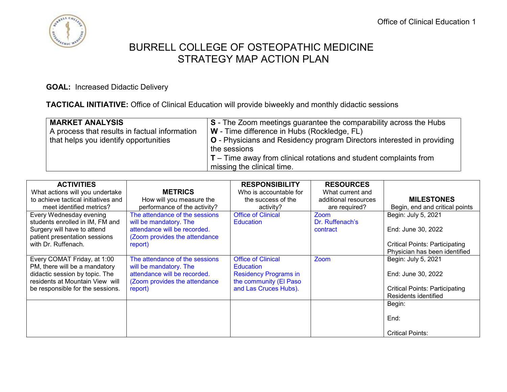

**GOAL:** Increased Didactic Delivery

**TACTICAL INITIATIVE:** Office of Clinical Education will provide biweekly and monthly didactic sessions

| <b>MARKET ANALYSIS</b><br>A process that results in factual information<br>that helps you identify opportunities | S - The Zoom meetings guarantee the comparability across the Hubs<br>W - Time difference in Hubs (Rockledge, FL)<br><b>O</b> - Physicians and Residency program Directors interested in providing<br>the sessions |
|------------------------------------------------------------------------------------------------------------------|-------------------------------------------------------------------------------------------------------------------------------------------------------------------------------------------------------------------|
|                                                                                                                  | $T$ – Time away from clinical rotations and student complaints from<br>missing the clinical time.                                                                                                                 |

| <b>ACTIVITIES</b>                   |                                | <b>RESPONSIBILITY</b>        | <b>RESOURCES</b>     |                                       |
|-------------------------------------|--------------------------------|------------------------------|----------------------|---------------------------------------|
| What actions will you undertake     | <b>METRICS</b>                 | Who is accountable for       | What current and     |                                       |
| to achieve tactical initiatives and | How will you measure the       | the success of the           | additional resources | <b>MILESTONES</b>                     |
| meet identified metrics?            | performance of the activity?   | activity?                    | are required?        | Begin, end and critical points        |
| Every Wednesday evening             | The attendance of the sessions | <b>Office of Clinical</b>    | Zoom                 | Begin: July 5, 2021                   |
| students enrolled in IM, FM and     | will be mandatory. The         | <b>Education</b>             | Dr. Ruffenach's      |                                       |
| Surgery will have to attend         | attendance will be recorded.   |                              | contract             | End: June 30, 2022                    |
| patient presentation sessions       | (Zoom provides the attendance  |                              |                      |                                       |
| with Dr. Ruffenach.                 | report)                        |                              |                      | <b>Critical Points: Participating</b> |
|                                     |                                |                              |                      | Physician has been identified         |
| Every COMAT Friday, at 1:00         | The attendance of the sessions | <b>Office of Clinical</b>    | Zoom                 | Begin: July 5, 2021                   |
| PM, there will be a mandatory       | will be mandatory. The         | <b>Education</b>             |                      |                                       |
| didactic session by topic. The      | attendance will be recorded.   | <b>Residency Programs in</b> |                      | End: June 30, 2022                    |
| residents at Mountain View will     | (Zoom provides the attendance  | the community (El Paso       |                      |                                       |
| be responsible for the sessions.    | report)                        | and Las Cruces Hubs).        |                      | <b>Critical Points: Participating</b> |
|                                     |                                |                              |                      | Residents identified                  |
|                                     |                                |                              |                      | Begin:                                |
|                                     |                                |                              |                      |                                       |
|                                     |                                |                              |                      | End:                                  |
|                                     |                                |                              |                      | <b>Critical Points:</b>               |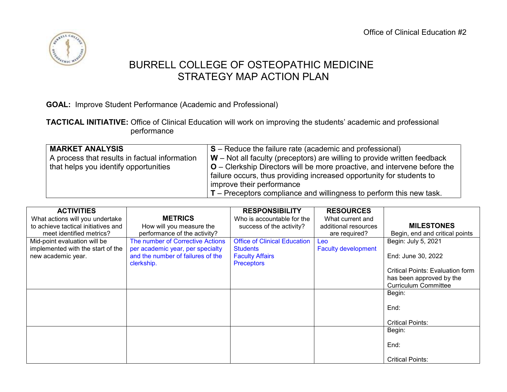

**GOAL:** Improve Student Performance (Academic and Professional)

**TACTICAL INITIATIVE:** Office of Clinical Education will work on improving the students' academic and professional performance

| <b>MARKET ANALYSIS</b>                        | $S -$ Reduce the failure rate (academic and professional)                                                                                          |
|-----------------------------------------------|----------------------------------------------------------------------------------------------------------------------------------------------------|
| A process that results in factual information | $\mathsf{W}$ – Not all faculty (preceptors) are willing to provide written feedback                                                                |
| that helps you identify opportunities         | $O$ – Clerkship Directors will be more proactive, and intervene before the<br>failure occurs, thus providing increased opportunity for students to |
|                                               | improve their performance                                                                                                                          |
|                                               | $\mathsf{T}$ – Preceptors compliance and willingness to perform this new task.                                                                     |

| <b>ACTIVITIES</b>                   |                                   | <b>RESPONSIBILITY</b>               | <b>RESOURCES</b>           |                                         |
|-------------------------------------|-----------------------------------|-------------------------------------|----------------------------|-----------------------------------------|
| What actions will you undertake     | <b>METRICS</b>                    | Who is accountable for the          | What current and           |                                         |
| to achieve tactical initiatives and | How will you measure the          | success of the activity?            | additional resources       | <b>MILESTONES</b>                       |
| meet identified metrics?            | performance of the activity?      |                                     | are required?              | Begin, end and critical points          |
| Mid-point evaluation will be        | The number of Corrective Actions  | <b>Office of Clinical Education</b> | Leo                        | Begin: July 5, 2021                     |
| implemented with the start of the   | per academic year, per specialty  | <b>Students</b>                     | <b>Faculty development</b> |                                         |
| new academic year.                  | and the number of failures of the | <b>Faculty Affairs</b>              |                            | End: June 30, 2022                      |
|                                     | clerkship.                        | <b>Preceptors</b>                   |                            |                                         |
|                                     |                                   |                                     |                            | <b>Critical Points: Evaluation form</b> |
|                                     |                                   |                                     |                            | has been approved by the                |
|                                     |                                   |                                     |                            | <b>Curriculum Committee</b>             |
|                                     |                                   |                                     |                            | Begin:                                  |
|                                     |                                   |                                     |                            |                                         |
|                                     |                                   |                                     |                            | End:                                    |
|                                     |                                   |                                     |                            |                                         |
|                                     |                                   |                                     |                            | <b>Critical Points:</b>                 |
|                                     |                                   |                                     |                            | Begin:                                  |
|                                     |                                   |                                     |                            |                                         |
|                                     |                                   |                                     |                            | End:                                    |
|                                     |                                   |                                     |                            |                                         |
|                                     |                                   |                                     |                            | <b>Critical Points:</b>                 |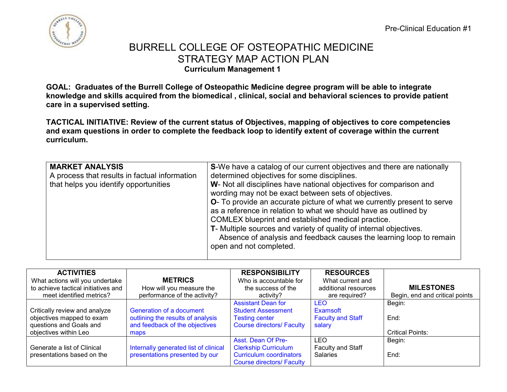Pre-Clinical Education #1



### BURRELL COLLEGE OF OSTEOPATHIC MEDICINE STRATEGY MAP ACTION PLAN **Curriculum Management 1**

**GOAL: Graduates of the Burrell College of Osteopathic Medicine degree program will be able to integrate knowledge and skills acquired from the biomedical , clinical, social and behavioral sciences to provide patient care in a supervised setting.**

**TACTICAL INITIATIVE: Review of the current status of Objectives, mapping of objectives to core competencies and exam questions in order to complete the feedback loop to identify extent of coverage within the current curriculum.**

| determined objectives for some disciplines.<br>A process that results in factual information<br>that helps you identify opportunities<br>W- Not all disciplines have national objectives for comparison and<br>wording may not be exact between sets of objectives.<br><b>O</b> - To provide an accurate picture of what we currently present to serve<br>as a reference in relation to what we should have as outlined by<br>COMLEX blueprint and established medical practice.<br>T- Multiple sources and variety of quality of internal objectives.<br>Absence of analysis and feedback causes the learning loop to remain<br>open and not completed. |
|----------------------------------------------------------------------------------------------------------------------------------------------------------------------------------------------------------------------------------------------------------------------------------------------------------------------------------------------------------------------------------------------------------------------------------------------------------------------------------------------------------------------------------------------------------------------------------------------------------------------------------------------------------|
|                                                                                                                                                                                                                                                                                                                                                                                                                                                                                                                                                                                                                                                          |

| <b>ACTIVITIES</b>                   |                                       | <b>RESPONSIBILITY</b>            | <b>RESOURCES</b>         |                                |
|-------------------------------------|---------------------------------------|----------------------------------|--------------------------|--------------------------------|
| What actions will you undertake     | <b>METRICS</b>                        | Who is accountable for           | What current and         |                                |
| to achieve tactical initiatives and | How will you measure the              | the success of the               | additional resources     | <b>MILESTONES</b>              |
| meet identified metrics?            | performance of the activity?          | activity?                        | are required?            | Begin, end and critical points |
|                                     |                                       | <b>Assistant Dean for</b>        | <b>LEO</b>               | Begin:                         |
| Critically review and analyze       | Generation of a document              | <b>Student Assessment</b>        | Examsoft                 |                                |
| objectives mapped to exam           | outlining the results of analysis     | <b>Testing center</b>            | <b>Faculty and Staff</b> | End:                           |
| questions and Goals and             | and feedback of the objectives        | <b>Course directors/ Faculty</b> | salary                   |                                |
| objectives within Leo               | maps                                  |                                  |                          | <b>Critical Points:</b>        |
|                                     |                                       | Asst. Dean Of Pre-               | LEO                      | Begin:                         |
| Generate a list of Clinical         | Internally generated list of clinical | <b>Clerkship Curriculum</b>      | Faculty and Staff        |                                |
| presentations based on the          | presentations presented by our        | <b>Curriculum coordinators</b>   | <b>Salaries</b>          | End:                           |
|                                     |                                       | <b>Course directors/ Faculty</b> |                          |                                |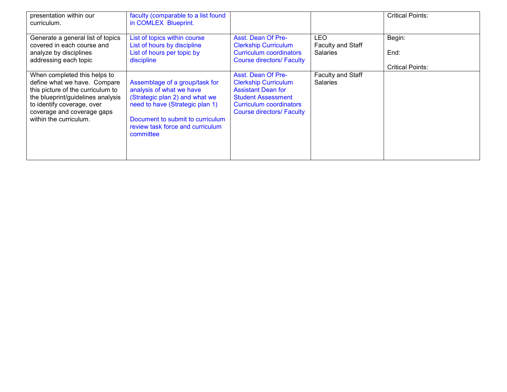| presentation within our<br>curriculum.                                                                                                                                                                                       | faculty (comparable to a list found<br>in COMLEX Blueprint.                                                                                                                                                          |                                                                                                                                                                                   |                                      | <b>Critical Points:</b> |
|------------------------------------------------------------------------------------------------------------------------------------------------------------------------------------------------------------------------------|----------------------------------------------------------------------------------------------------------------------------------------------------------------------------------------------------------------------|-----------------------------------------------------------------------------------------------------------------------------------------------------------------------------------|--------------------------------------|-------------------------|
| Generate a general list of topics                                                                                                                                                                                            | List of topics within course                                                                                                                                                                                         | Asst. Dean Of Pre-                                                                                                                                                                | <b>LEO</b>                           | Begin:                  |
| covered in each course and                                                                                                                                                                                                   | List of hours by discipline                                                                                                                                                                                          | <b>Clerkship Curriculum</b>                                                                                                                                                       | Faculty and Staff                    |                         |
| analyze by disciplines                                                                                                                                                                                                       | List of hours per topic by                                                                                                                                                                                           | Curriculum coordinators                                                                                                                                                           | <b>Salaries</b>                      | End:                    |
| addressing each topic                                                                                                                                                                                                        | discipline                                                                                                                                                                                                           | <b>Course directors/ Faculty</b>                                                                                                                                                  |                                      |                         |
|                                                                                                                                                                                                                              |                                                                                                                                                                                                                      |                                                                                                                                                                                   |                                      | <b>Critical Points:</b> |
| When completed this helps to<br>define what we have. Compare<br>this picture of the curriculum to<br>the blueprint/guidelines analysis<br>to identify coverage, over<br>coverage and coverage gaps<br>within the curriculum. | Assemblage of a group/task for<br>analysis of what we have<br>(Strategic plan 2) and what we<br>need to have (Strategic plan 1)<br>Document to submit to curriculum<br>review task force and curriculum<br>committee | Asst. Dean Of Pre-<br><b>Clerkship Curriculum</b><br><b>Assistant Dean for</b><br><b>Student Assessment</b><br><b>Curriculum coordinators</b><br><b>Course directors/ Faculty</b> | Faculty and Staff<br><b>Salaries</b> |                         |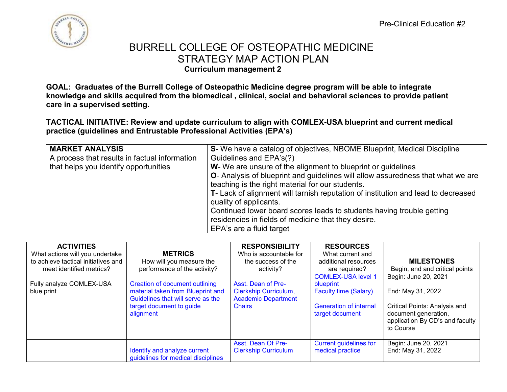

**GOAL: Graduates of the Burrell College of Osteopathic Medicine degree program will be able to integrate knowledge and skills acquired from the biomedical , clinical, social and behavioral sciences to provide patient care in a supervised setting.**

**TACTICAL INITIATIVE: Review and update curriculum to align with COMLEX-USA blueprint and current medical practice (guidelines and Entrustable Professional Activities (EPA's)** 

| <b>MARKET ANALYSIS</b><br>A process that results in factual information<br>that helps you identify opportunities | S- We have a catalog of objectives, NBOME Blueprint, Medical Discipline<br>Guidelines and EPA's(?)<br>W- We are unsure of the alignment to blueprint or quidelines<br><b>O-</b> Analysis of blueprint and guidelines will allow assuredness that what we are<br>teaching is the right material for our students.<br>T- Lack of alignment will tarnish reputation of institution and lead to decreased<br>quality of applicants.<br>Continued lower board scores leads to students having trouble getting<br>residencies in fields of medicine that they desire.<br>EPA's are a fluid target |
|------------------------------------------------------------------------------------------------------------------|---------------------------------------------------------------------------------------------------------------------------------------------------------------------------------------------------------------------------------------------------------------------------------------------------------------------------------------------------------------------------------------------------------------------------------------------------------------------------------------------------------------------------------------------------------------------------------------------|
|------------------------------------------------------------------------------------------------------------------|---------------------------------------------------------------------------------------------------------------------------------------------------------------------------------------------------------------------------------------------------------------------------------------------------------------------------------------------------------------------------------------------------------------------------------------------------------------------------------------------------------------------------------------------------------------------------------------------|

| <b>ACTIVITIES</b><br>What actions will you undertake<br>to achieve tactical initiatives and<br>meet identified metrics? | <b>METRICS</b><br>How will you measure the<br>performance of the activity?                                                                        | <b>RESPONSIBILITY</b><br>Who is accountable for<br>the success of the<br>activity?                | <b>RESOURCES</b><br>What current and<br>additional resources<br>are required?                                              | <b>MILESTONES</b><br>Begin, end and critical points                                                                                                |
|-------------------------------------------------------------------------------------------------------------------------|---------------------------------------------------------------------------------------------------------------------------------------------------|---------------------------------------------------------------------------------------------------|----------------------------------------------------------------------------------------------------------------------------|----------------------------------------------------------------------------------------------------------------------------------------------------|
| Fully analyze COMLEX-USA<br>blue print                                                                                  | Creation of document outlining<br>material taken from Blueprint and<br>Guidelines that will serve as the<br>target document to guide<br>alignment | Asst. Dean of Pre-<br><b>Clerkship Curriculum,</b><br><b>Academic Department</b><br><b>Chairs</b> | <b>COMLEX-USA level 1</b><br>blueprint<br><b>Faculty time (Salary)</b><br><b>Generation of internal</b><br>target document | Begin: June 20, 2021<br>End: May 31, 2022<br>Critical Points: Analysis and<br>document generation,<br>application By CD's and faculty<br>to Course |
|                                                                                                                         | Identify and analyze current<br>guidelines for medical disciplines                                                                                | Asst. Dean Of Pre-<br><b>Clerkship Curriculum</b>                                                 | <b>Current guidelines for</b><br>medical practice                                                                          | Begin: June 20, 2021<br>End: May 31, 2022                                                                                                          |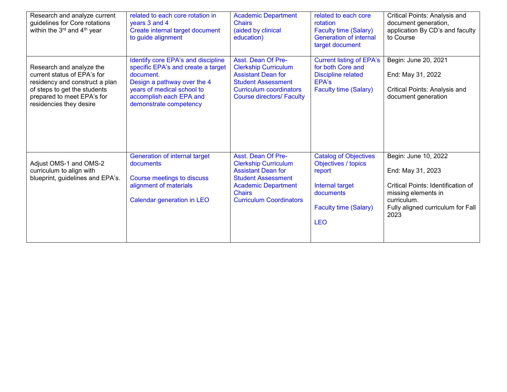| Research and analyze current<br>guidelines for Core rotations<br>within the 3 <sup>rd</sup> and 4 <sup>th</sup> year                                                               | related to each core rotation in<br>years 3 and 4<br>Create internal target document<br>to guide alignment                                                                                              | <b>Academic Department</b><br><b>Chairs</b><br>(aided by clinical<br>education)                                                                                                              | related to each core<br>rotation<br><b>Faculty time (Salary)</b><br><b>Generation of internal</b><br>target document                        | Critical Points: Analysis and<br>document generation,<br>application By CD's and faculty<br>to Course                                                              |
|------------------------------------------------------------------------------------------------------------------------------------------------------------------------------------|---------------------------------------------------------------------------------------------------------------------------------------------------------------------------------------------------------|----------------------------------------------------------------------------------------------------------------------------------------------------------------------------------------------|---------------------------------------------------------------------------------------------------------------------------------------------|--------------------------------------------------------------------------------------------------------------------------------------------------------------------|
| Research and analyze the<br>current status of EPA's for<br>residency and construct a plan<br>of steps to get the students<br>prepared to meet EPA's for<br>residencies they desire | Identify core EPA's and discipline<br>specific EPA's and create a target<br>document.<br>Design a pathway over the 4<br>years of medical school to<br>accomplish each EPA and<br>demonstrate competency | Asst. Dean Of Pre-<br><b>Clerkship Curriculum</b><br><b>Assistant Dean for</b><br><b>Student Assessment</b><br><b>Curriculum coordinators</b><br><b>Course directors/ Faculty</b>            | <b>Current listing of EPA's</b><br>for both Core and<br><b>Discipline related</b><br>EPA's<br><b>Faculty time (Salary)</b>                  | Begin: June 20, 2021<br>End: May 31, 2022<br>Critical Points: Analysis and<br>document generation                                                                  |
| Adjust OMS-1 and OMS-2<br>curriculum to align with<br>blueprint, guidelines and EPA's.                                                                                             | Generation of internal target<br>documents<br>Course meetings to discuss<br>alignment of materials<br>Calendar generation in LEO                                                                        | Asst. Dean Of Pre-<br><b>Clerkship Curriculum</b><br><b>Assistant Dean for</b><br><b>Student Assessment</b><br><b>Academic Department</b><br><b>Chairs</b><br><b>Curriculum Coordinators</b> | <b>Catalog of Objectives</b><br>Objectives / topics<br>report<br>Internal target<br>documents<br><b>Faculty time (Salary)</b><br><b>LEO</b> | Begin: June 10, 2022<br>End: May 31, 2023<br>Critical Points: Identification of<br>missing elements in<br>curriculum.<br>Fully aligned curriculum for Fall<br>2023 |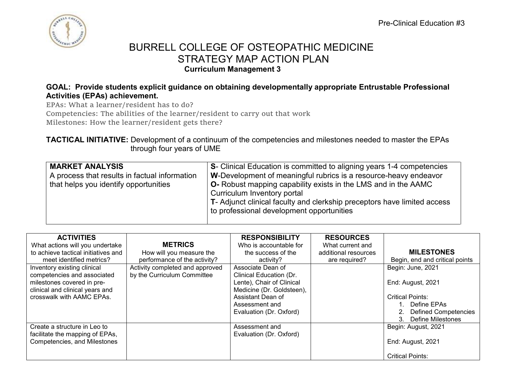

#### **GOAL: Provide students explicit guidance on obtaining developmentally appropriate Entrustable Professional Activities (EPAs) achievement.**

EPAs: What a learner/resident has to do?

Competencies: The abilities of the learner/resident to carry out that work

Milestones: How the learner/resident gets there?

### **TACTICAL INITIATIVE:** Development of a continuum of the competencies and milestones needed to master the EPAs through four years of UME

| <b>MARKET ANALYSIS</b><br>A process that results in factual information<br>that helps you identify opportunities | S- Clinical Education is committed to aligning years 1-4 competencies<br>W-Development of meaningful rubrics is a resource-heavy endeavor<br><b>O-</b> Robust mapping capability exists in the LMS and in the AAMC<br>Curriculum Inventory portal<br>T- Adjunct clinical faculty and clerkship preceptors have limited access<br>to professional development opportunities |
|------------------------------------------------------------------------------------------------------------------|----------------------------------------------------------------------------------------------------------------------------------------------------------------------------------------------------------------------------------------------------------------------------------------------------------------------------------------------------------------------------|
|                                                                                                                  |                                                                                                                                                                                                                                                                                                                                                                            |

| <b>ACTIVITIES</b>                   |                                 | <b>RESPONSIBILITY</b>     | <b>RESOURCES</b>     |                                |
|-------------------------------------|---------------------------------|---------------------------|----------------------|--------------------------------|
| What actions will you undertake     | <b>METRICS</b>                  | Who is accountable for    | What current and     |                                |
| to achieve tactical initiatives and | How will you measure the        | the success of the        | additional resources | <b>MILESTONES</b>              |
| meet identified metrics?            | performance of the activity?    | activity?                 | are required?        | Begin, end and critical points |
| Inventory existing clinical         | Activity completed and approved | Associate Dean of         |                      | Begin: June, 2021              |
| competencies and associated         | by the Curriculum Committee     | Clinical Education (Dr.   |                      |                                |
| milestones covered in pre-          |                                 | Lente), Chair of Clinical |                      | End: August, 2021              |
| clinical and clinical years and     |                                 | Medicine (Dr. Goldsteen), |                      |                                |
| crosswalk with AAMC EPAs.           |                                 | Assistant Dean of         |                      | <b>Critical Points:</b>        |
|                                     |                                 | Assessment and            |                      | Define EPAs                    |
|                                     |                                 | Evaluation (Dr. Oxford)   |                      | 2. Defined Competencies        |
|                                     |                                 |                           |                      | <b>Define Milestones</b><br>3. |
| Create a structure in Leo to        |                                 | Assessment and            |                      | Begin: August, 2021            |
| facilitate the mapping of EPAs,     |                                 | Evaluation (Dr. Oxford)   |                      |                                |
| Competencies, and Milestones        |                                 |                           |                      | End: August, 2021              |
|                                     |                                 |                           |                      |                                |
|                                     |                                 |                           |                      | <b>Critical Points:</b>        |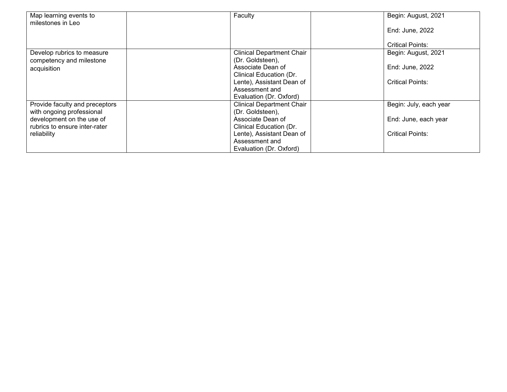| Map learning events to         | Faculty                          | Begin: August, 2021     |
|--------------------------------|----------------------------------|-------------------------|
| milestones in Leo              |                                  |                         |
|                                |                                  | End: June, 2022         |
|                                |                                  |                         |
|                                |                                  | <b>Critical Points:</b> |
| Develop rubrics to measure     | <b>Clinical Department Chair</b> | Begin: August, 2021     |
| competency and milestone       | (Dr. Goldsteen),                 |                         |
| acquisition                    | Associate Dean of                | End: June, 2022         |
|                                | Clinical Education (Dr.          |                         |
|                                | Lente), Assistant Dean of        | <b>Critical Points:</b> |
|                                | Assessment and                   |                         |
|                                | Evaluation (Dr. Oxford)          |                         |
| Provide faculty and preceptors | Clinical Department Chair        | Begin: July, each year  |
| with ongoing professional      | (Dr. Goldsteen),                 |                         |
| development on the use of      | Associate Dean of                | End: June, each year    |
| rubrics to ensure inter-rater  | Clinical Education (Dr.          |                         |
| reliability                    | Lente), Assistant Dean of        | <b>Critical Points:</b> |
|                                | Assessment and                   |                         |
|                                | Evaluation (Dr. Oxford)          |                         |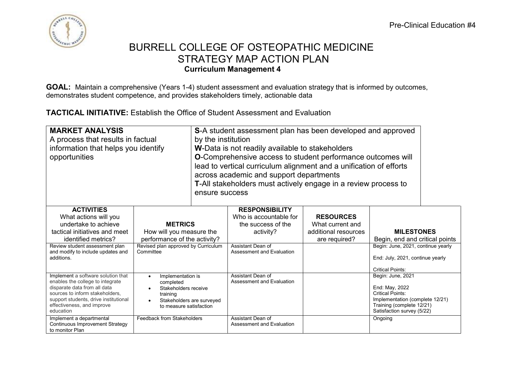

**GOAL:** Maintain a comprehensive (Years 1-4) student assessment and evaluation strategy that is informed by outcomes, demonstrates student competence, and provides stakeholders timely, actionable data

**TACTICAL INITIATIVE:** Establish the Office of Student Assessment and Evaluation

| <b>MARKET ANALYSIS</b><br>A process that results in factual<br>information that helps you identify<br>opportunities |                                                  | by the institution<br>ensure success | S-A student assessment plan has been developed and approved<br>W-Data is not readily available to stakeholders<br>O-Comprehensive access to student performance outcomes will<br>lead to vertical curriculum alignment and a unification of efforts<br>across academic and support departments<br>T-All stakeholders must actively engage in a review process to |                      |                                                              |  |
|---------------------------------------------------------------------------------------------------------------------|--------------------------------------------------|--------------------------------------|------------------------------------------------------------------------------------------------------------------------------------------------------------------------------------------------------------------------------------------------------------------------------------------------------------------------------------------------------------------|----------------------|--------------------------------------------------------------|--|
| <b>ACTIVITIES</b><br>What actions will you                                                                          |                                                  |                                      | <b>RESPONSIBILITY</b><br>Who is accountable for                                                                                                                                                                                                                                                                                                                  | <b>RESOURCES</b>     |                                                              |  |
| undertake to achieve                                                                                                | <b>METRICS</b>                                   |                                      | the success of the                                                                                                                                                                                                                                                                                                                                               | What current and     |                                                              |  |
| tactical initiatives and meet                                                                                       | How will you measure the                         |                                      | activity?                                                                                                                                                                                                                                                                                                                                                        | additional resources | <b>MILESTONES</b>                                            |  |
| identified metrics?                                                                                                 | performance of the activity?                     |                                      |                                                                                                                                                                                                                                                                                                                                                                  | are required?        | Begin, end and critical points                               |  |
| Review student assessment plan<br>and modify to include updates and                                                 | Revised plan approved by Curriculum<br>Committee |                                      | Assistant Dean of<br>Assessment and Evaluation                                                                                                                                                                                                                                                                                                                   |                      | Begin: June, 2021, continue yearly                           |  |
| additions.                                                                                                          |                                                  |                                      |                                                                                                                                                                                                                                                                                                                                                                  |                      | End: July, 2021, continue yearly                             |  |
|                                                                                                                     |                                                  |                                      |                                                                                                                                                                                                                                                                                                                                                                  |                      | <b>Critical Points:</b>                                      |  |
| Implement a software solution that                                                                                  | Implementation is<br>$\bullet$                   |                                      | Assistant Dean of                                                                                                                                                                                                                                                                                                                                                |                      | Begin: June, 2021                                            |  |
| enables the college to integrate<br>disparate data from all data                                                    | completed<br>Stakeholders receive<br>$\bullet$   |                                      | Assessment and Evaluation                                                                                                                                                                                                                                                                                                                                        |                      | End: May, 2022                                               |  |
| sources to inform stakeholders,                                                                                     | training                                         |                                      |                                                                                                                                                                                                                                                                                                                                                                  |                      | Critical Points:                                             |  |
| support students, drive institutional<br>effectiveness, and improve                                                 | Stakeholders are surveyed<br>$\bullet$           |                                      |                                                                                                                                                                                                                                                                                                                                                                  |                      | Implementation (complete 12/21)<br>Training (complete 12/21) |  |
| education                                                                                                           | to measure satisfaction                          |                                      |                                                                                                                                                                                                                                                                                                                                                                  |                      | Satisfaction survey (5/22)                                   |  |
| Implement a departmental<br><b>Continuous Improvement Strategy</b><br>to monitor Plan                               | Feedback from Stakeholders                       |                                      | Assistant Dean of<br>Assessment and Evaluation                                                                                                                                                                                                                                                                                                                   |                      | Ongoing                                                      |  |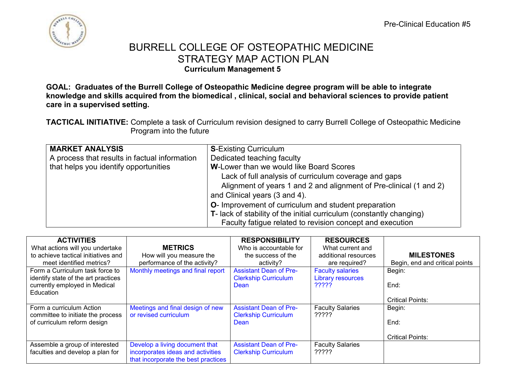

**GOAL: Graduates of the Burrell College of Osteopathic Medicine degree program will be able to integrate knowledge and skills acquired from the biomedical , clinical, social and behavioral sciences to provide patient care in a supervised setting.**

**TACTICAL INITIATIVE:** Complete a task of Curriculum revision designed to carry Burrell College of Osteopathic Medicine Program into the future

| <b>MARKET ANALYSIS</b>                        | <b>S-Existing Curriculum</b>                                         |
|-----------------------------------------------|----------------------------------------------------------------------|
| A process that results in factual information | Dedicated teaching faculty                                           |
| that helps you identify opportunities         | <b>W-Lower than we would like Board Scores</b>                       |
|                                               | Lack of full analysis of curriculum coverage and gaps                |
|                                               | Alignment of years 1 and 2 and alignment of Pre-clinical (1 and 2)   |
|                                               | and Clinical years (3 and 4).                                        |
|                                               | O- Improvement of curriculum and student preparation                 |
|                                               | T- lack of stability of the initial curriculum (constantly changing) |
|                                               | Faculty fatigue related to revision concept and execution            |

| <b>ACTIVITIES</b>                   |                                     | <b>RESPONSIBILITY</b>         | <b>RESOURCES</b>         |                                |
|-------------------------------------|-------------------------------------|-------------------------------|--------------------------|--------------------------------|
| What actions will you undertake     | <b>METRICS</b>                      | Who is accountable for        | What current and         |                                |
| to achieve tactical initiatives and | How will you measure the            | the success of the            | additional resources     | <b>MILESTONES</b>              |
| meet identified metrics?            | performance of the activity?        | activity?                     | are required?            | Begin, end and critical points |
| Form a Curriculum task force to     | Monthly meetings and final report   | <b>Assistant Dean of Pre-</b> | <b>Faculty salaries</b>  | Begin:                         |
| identify state of the art practices |                                     | <b>Clerkship Curriculum</b>   | <b>Library resources</b> |                                |
| currently employed in Medical       |                                     | Dean                          | ?????                    | End:                           |
| Education                           |                                     |                               |                          |                                |
|                                     |                                     |                               |                          | <b>Critical Points:</b>        |
| Form a curriculum Action            | Meetings and final design of new    | <b>Assistant Dean of Pre-</b> | <b>Faculty Salaries</b>  | Begin:                         |
| committee to initiate the process   | or revised curriculum               | <b>Clerkship Curriculum</b>   | ?????                    |                                |
| of curriculum reform design         |                                     | Dean                          |                          | End:                           |
|                                     |                                     |                               |                          |                                |
|                                     |                                     |                               |                          | <b>Critical Points:</b>        |
| Assemble a group of interested      | Develop a living document that      | <b>Assistant Dean of Pre-</b> | <b>Faculty Salaries</b>  |                                |
| faculties and develop a plan for    | incorporates ideas and activities   | <b>Clerkship Curriculum</b>   | ?????                    |                                |
|                                     | that incorporate the best practices |                               |                          |                                |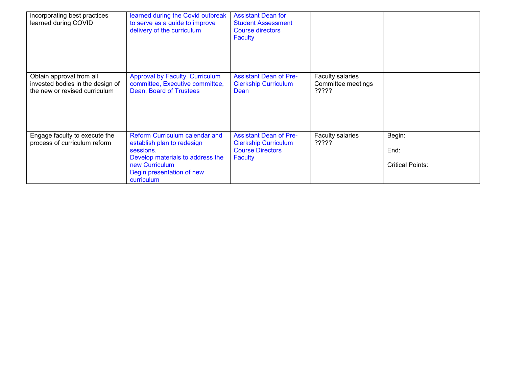| incorporating best practices<br>learned during COVID                                          | learned during the Covid outbreak<br>to serve as a guide to improve<br>delivery of the curriculum                                                                          | <b>Assistant Dean for</b><br><b>Student Assessment</b><br><b>Course directors</b><br><b>Faculty</b> |                                                 |                                           |
|-----------------------------------------------------------------------------------------------|----------------------------------------------------------------------------------------------------------------------------------------------------------------------------|-----------------------------------------------------------------------------------------------------|-------------------------------------------------|-------------------------------------------|
| Obtain approval from all<br>invested bodies in the design of<br>the new or revised curriculum | <b>Approval by Faculty, Curriculum</b><br>committee, Executive committee,<br>Dean, Board of Trustees                                                                       | <b>Assistant Dean of Pre-</b><br><b>Clerkship Curriculum</b><br>Dean                                | Faculty salaries<br>Committee meetings<br>????? |                                           |
| Engage faculty to execute the<br>process of curriculum reform                                 | Reform Curriculum calendar and<br>establish plan to redesign<br>sessions.<br>Develop materials to address the<br>new Curriculum<br>Begin presentation of new<br>curriculum | <b>Assistant Dean of Pre-</b><br><b>Clerkship Curriculum</b><br><b>Course Directors</b><br>Faculty  | Faculty salaries<br>?????                       | Begin:<br>End:<br><b>Critical Points:</b> |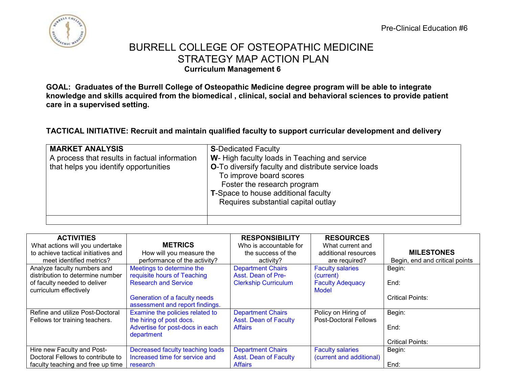

**GOAL: Graduates of the Burrell College of Osteopathic Medicine degree program will be able to integrate knowledge and skills acquired from the biomedical , clinical, social and behavioral sciences to provide patient care in a supervised setting.**

### **TACTICAL INITIATIVE: Recruit and maintain qualified faculty to support curricular development and delivery**

| <b>MARKET ANALYSIS</b><br>A process that results in factual information<br>that helps you identify opportunities | <b>S-Dedicated Faculty</b><br>W- High faculty loads in Teaching and service<br><b>O-To diversify faculty and distribute service loads</b><br>To improve board scores<br>Foster the research program<br><b>T-Space to house additional faculty</b><br>Requires substantial capital outlay |
|------------------------------------------------------------------------------------------------------------------|------------------------------------------------------------------------------------------------------------------------------------------------------------------------------------------------------------------------------------------------------------------------------------------|
|                                                                                                                  |                                                                                                                                                                                                                                                                                          |

| <b>ACTIVITIES</b>                   |                                  | <b>RESPONSIBILITY</b>        | <b>RESOURCES</b>             |                                |
|-------------------------------------|----------------------------------|------------------------------|------------------------------|--------------------------------|
| What actions will you undertake     | <b>METRICS</b>                   | Who is accountable for       | What current and             |                                |
| to achieve tactical initiatives and | How will you measure the         | the success of the           | additional resources         | <b>MILESTONES</b>              |
| meet identified metrics?            | performance of the activity?     | activity?                    | are required?                | Begin, end and critical points |
| Analyze faculty numbers and         | Meetings to determine the        | <b>Department Chairs</b>     | <b>Faculty salaries</b>      | Begin:                         |
| distribution to determine number    | requisite hours of Teaching      | Asst. Dean of Pre-           | (current)                    |                                |
| of faculty needed to deliver        | <b>Research and Service</b>      | <b>Clerkship Curriculum</b>  | <b>Faculty Adequacy</b>      | End:                           |
| curriculum effectively              |                                  |                              | Model                        |                                |
|                                     | Generation of a faculty needs    |                              |                              | <b>Critical Points:</b>        |
|                                     | assessment and report findings.  |                              |                              |                                |
| Refine and utilize Post-Doctoral    | Examine the policies related to  | <b>Department Chairs</b>     | Policy on Hiring of          | Begin:                         |
| Fellows tor training teachers.      | the hiring of post docs.         | <b>Asst. Dean of Faculty</b> | <b>Post-Doctoral Fellows</b> |                                |
|                                     | Advertise for post-docs in each  | <b>Affairs</b>               |                              | End:                           |
|                                     | department                       |                              |                              |                                |
|                                     |                                  |                              |                              | <b>Critical Points:</b>        |
| Hire new Faculty and Post-          | Decreased faculty teaching loads | <b>Department Chairs</b>     | <b>Faculty salaries</b>      | Begin:                         |
| Doctoral Fellows to contribute to   | Increased time for service and   | <b>Asst. Dean of Faculty</b> | (current and additional)     |                                |
| faculty teaching and free up time   | research                         | <b>Affairs</b>               |                              | End:                           |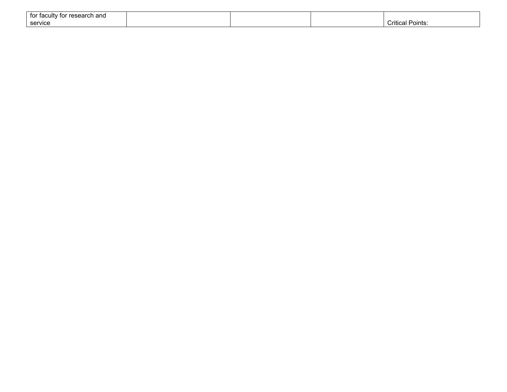| tor faculty<br>' for research and |  |                          |
|-----------------------------------|--|--------------------------|
| service                           |  | -<br>Critical<br>Points: |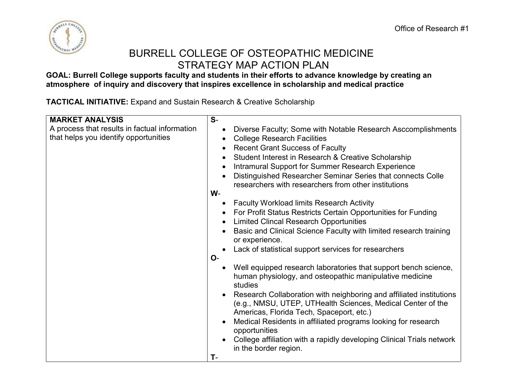

**GOAL: Burrell College supports faculty and students in their efforts to advance knowledge by creating an atmosphere of inquiry and discovery that inspires excellence in scholarship and medical practice** 

**TACTICAL INITIATIVE:** Expand and Sustain Research & Creative Scholarship

| <b>MARKET ANALYSIS</b>                                                                 | $S-$                                                                                                                                                                                                                                                                                                                                                                                                      |  |
|----------------------------------------------------------------------------------------|-----------------------------------------------------------------------------------------------------------------------------------------------------------------------------------------------------------------------------------------------------------------------------------------------------------------------------------------------------------------------------------------------------------|--|
| A process that results in factual information<br>that helps you identify opportunities | Diverse Faculty; Some with Notable Research Asccomplishments<br><b>College Research Facilities</b><br>$\bullet$<br><b>Recent Grant Success of Faculty</b><br>Student Interest in Research & Creative Scholarship<br>Intramural Support for Summer Research Experience<br>Distinguished Researcher Seminar Series that connects Colle<br>researchers with researchers from other institutions              |  |
|                                                                                        | $W -$                                                                                                                                                                                                                                                                                                                                                                                                     |  |
|                                                                                        | <b>Faculty Workload limits Research Activity</b><br>For Profit Status Restricts Certain Opportunities for Funding<br>$\bullet$<br><b>Limited Clincal Research Opportunities</b><br>Basic and Clinical Science Faculty with limited research training<br>or experience.<br>Lack of statistical support services for researchers<br>$O-$<br>Well equipped research laboratories that support bench science, |  |
|                                                                                        | human physiology, and osteopathic manipulative medicine<br>studies                                                                                                                                                                                                                                                                                                                                        |  |
|                                                                                        | Research Collaboration with neighboring and affiliated institutions<br>(e.g., NMSU, UTEP, UTHealth Sciences, Medical Center of the<br>Americas, Florida Tech, Spaceport, etc.)                                                                                                                                                                                                                            |  |
|                                                                                        | Medical Residents in affiliated programs looking for research<br>opportunities                                                                                                                                                                                                                                                                                                                            |  |
|                                                                                        | College affiliation with a rapidly developing Clinical Trials network<br>in the border region.                                                                                                                                                                                                                                                                                                            |  |
|                                                                                        | T-                                                                                                                                                                                                                                                                                                                                                                                                        |  |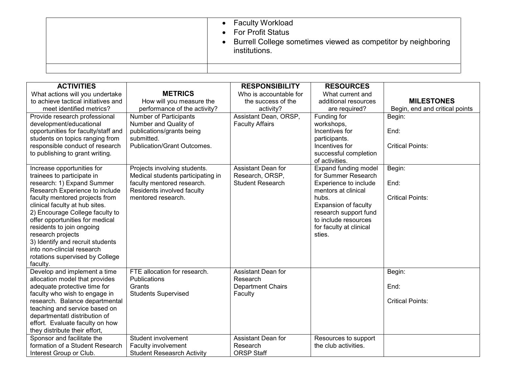| • Faculty Workload<br>• For Profit Status<br>Burrell College sometimes viewed as competitor by neighboring<br>institutions. |
|-----------------------------------------------------------------------------------------------------------------------------|
|                                                                                                                             |

| <b>ACTIVITIES</b>                                                  |                                                          | <b>RESPONSIBILITY</b>     | <b>RESOURCES</b>                             |                                |
|--------------------------------------------------------------------|----------------------------------------------------------|---------------------------|----------------------------------------------|--------------------------------|
| What actions will you undertake                                    | <b>METRICS</b>                                           | Who is accountable for    | What current and                             |                                |
| to achieve tactical initiatives and                                | How will you measure the                                 | the success of the        | additional resources                         | <b>MILESTONES</b>              |
| meet identified metrics?                                           | performance of the activity?                             | activity?                 | are required?                                | Begin, end and critical points |
| Provide research professional                                      | <b>Number of Participants</b>                            | Assistant Dean, ORSP,     | Funding for                                  | Begin:                         |
| development/educational                                            | Number and Quality of                                    | <b>Faculty Affairs</b>    | workshops,                                   |                                |
| opportunities for faculty/staff and                                | publications/grants being                                |                           | Incentives for                               | End:                           |
| students on topics ranging from<br>responsible conduct of research | submitted.<br>Publication/Grant Outcomes.                |                           | participants.<br>Incentives for              | <b>Critical Points:</b>        |
| to publishing to grant writing.                                    |                                                          |                           | successful completion                        |                                |
|                                                                    |                                                          |                           | of activities.                               |                                |
| Increase opportunities for                                         | Projects involving students.                             | Assistant Dean for        | <b>Expand funding model</b>                  | Begin:                         |
| trainees to participate in                                         | Medical students participating in                        | Research, ORSP,           | for Summer Research                          |                                |
| research: 1) Expand Summer<br>Research Experience to include       | faculty mentored research.<br>Residents involved faculty | <b>Student Research</b>   | Experience to include<br>mentors at clinical | End:                           |
| faculty mentored projects from                                     | mentored research.                                       |                           | hubs.                                        | <b>Critical Points:</b>        |
| clinical faculty at hub sites.                                     |                                                          |                           | <b>Expansion of faculty</b>                  |                                |
| 2) Encourage College faculty to                                    |                                                          |                           | research support fund                        |                                |
| offer opportunities for medical                                    |                                                          |                           | to include resources                         |                                |
| residents to join ongoing                                          |                                                          |                           | for faculty at clinical                      |                                |
| research projects                                                  |                                                          |                           | sties.                                       |                                |
| 3) Identify and recruit students                                   |                                                          |                           |                                              |                                |
| into non-clincial research                                         |                                                          |                           |                                              |                                |
| rotations supervised by College                                    |                                                          |                           |                                              |                                |
| faculty.                                                           |                                                          |                           |                                              |                                |
| Develop and implement a time                                       | FTE allocation for research.                             | <b>Assistant Dean for</b> |                                              | Begin:                         |
| allocation model that provides                                     | Publications                                             | Research                  |                                              |                                |
| adequate protective time for                                       | Grants                                                   | <b>Department Chairs</b>  |                                              | End:                           |
| faculty who wish to engage in                                      | <b>Students Supervised</b>                               | Faculty                   |                                              | <b>Critical Points:</b>        |
| research. Balance departmental<br>teaching and service based on    |                                                          |                           |                                              |                                |
| departmentatl distribution of                                      |                                                          |                           |                                              |                                |
| effort. Evaluate faculty on how                                    |                                                          |                           |                                              |                                |
| they distribute their effort,                                      |                                                          |                           |                                              |                                |
| Sponsor and facilitate the                                         | Student involvement                                      | Assistant Dean for        | Resources to support                         |                                |
| formation of a Student Research                                    | Faculty involvement                                      | Research                  | the club activities.                         |                                |
| Interest Group or Club.                                            | <b>Student Reseasrch Activity</b>                        | <b>ORSP Staff</b>         |                                              |                                |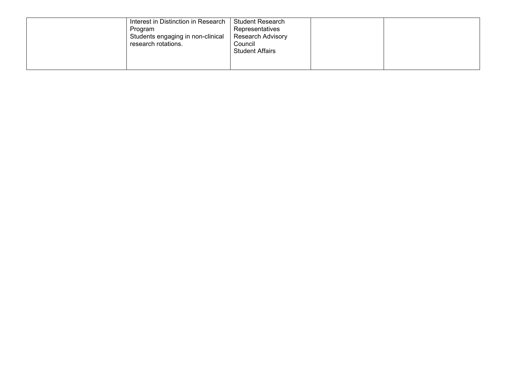| Interest in Distinction in Research<br>Program<br>Students engaging in non-clinical<br>research rotations. | <b>Student Research</b><br>Representatives<br><b>Research Advisory</b><br>Council<br><b>Student Affairs</b> |  |  |
|------------------------------------------------------------------------------------------------------------|-------------------------------------------------------------------------------------------------------------|--|--|
|------------------------------------------------------------------------------------------------------------|-------------------------------------------------------------------------------------------------------------|--|--|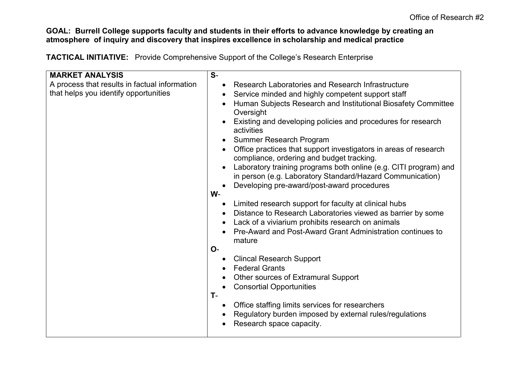### **GOAL: Burrell College supports faculty and students in their efforts to advance knowledge by creating an atmosphere of inquiry and discovery that inspires excellence in scholarship and medical practice**

**TACTICAL INITIATIVE:** Provide Comprehensive Support of the College's Research Enterprise

| <b>MARKET ANALYSIS</b>                        | $S-$                                                                                                                          |
|-----------------------------------------------|-------------------------------------------------------------------------------------------------------------------------------|
| A process that results in factual information | Research Laboratories and Research Infrastructure<br>$\bullet$                                                                |
| that helps you identify opportunities         | Service minded and highly competent support staff                                                                             |
|                                               | Human Subjects Research and Institutional Biosafety Committee<br>Oversight                                                    |
|                                               | Existing and developing policies and procedures for research<br>activities                                                    |
|                                               | <b>Summer Research Program</b>                                                                                                |
|                                               | Office practices that support investigators in areas of research<br>compliance, ordering and budget tracking.                 |
|                                               | Laboratory training programs both online (e.g. CITI program) and<br>in person (e.g. Laboratory Standard/Hazard Communication) |
|                                               | Developing pre-award/post-award procedures                                                                                    |
|                                               | W-                                                                                                                            |
|                                               | Limited research support for faculty at clinical hubs                                                                         |
|                                               | Distance to Research Laboratories viewed as barrier by some                                                                   |
|                                               | Lack of a viviarium prohibits research on animals                                                                             |
|                                               | Pre-Award and Post-Award Grant Administration continues to<br>mature                                                          |
|                                               | <b>O-</b>                                                                                                                     |
|                                               | <b>Clincal Research Support</b>                                                                                               |
|                                               | <b>Federal Grants</b>                                                                                                         |
|                                               | Other sources of Extramural Support                                                                                           |
|                                               | <b>Consortial Opportunities</b>                                                                                               |
|                                               | $T -$                                                                                                                         |
|                                               | Office staffing limits services for researchers                                                                               |
|                                               | Regulatory burden imposed by external rules/regulations                                                                       |
|                                               | Research space capacity.                                                                                                      |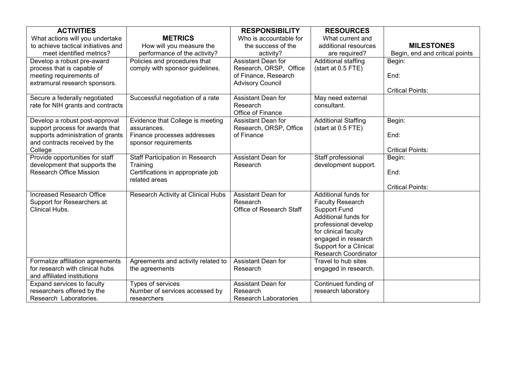| <b>ACTIVITIES</b>                   |                                        | <b>RESPONSIBILITY</b>                | <b>RESOURCES</b>                            |                                |
|-------------------------------------|----------------------------------------|--------------------------------------|---------------------------------------------|--------------------------------|
| What actions will you undertake     | <b>METRICS</b>                         | Who is accountable for               | What current and                            |                                |
| to achieve tactical initiatives and | How will you measure the               | the success of the                   | additional resources                        | <b>MILESTONES</b>              |
| meet identified metrics?            | performance of the activity?           | activity?                            | are required?                               | Begin, end and critical points |
| Develop a robust pre-award          | Policies and procedures that           | <b>Assistant Dean for</b>            | Additional staffing                         | Begin:                         |
| process that is capable of          | comply with sponsor guidelines.        | Research, ORSP, Office               | (start at 0.5 FTE)                          |                                |
| meeting requirements of             |                                        | of Finance, Research                 |                                             | End:                           |
| extramural research sponsors.       |                                        | <b>Advisory Council</b>              |                                             |                                |
|                                     |                                        |                                      |                                             | <b>Critical Points:</b>        |
| Secure a federally negotiated       | Successful negotiation of a rate       | <b>Assistant Dean for</b>            | May need external                           |                                |
| rate for NIH grants and contracts   |                                        | Research                             | consultant.                                 |                                |
|                                     |                                        | Office of Finance                    |                                             |                                |
| Develop a robust post-approval      | Evidence that College is meeting       | Assistant Dean for                   | <b>Additional Staffing</b>                  | Begin:                         |
| support process for awards that     | assurances.                            | Research, ORSP, Office               | (start at 0.5 FTE)                          |                                |
| supports administration of grants   | Finance processes addresses            | of Finance                           |                                             | End:                           |
| and contracts received by the       | sponsor requirements                   |                                      |                                             |                                |
| College                             |                                        |                                      |                                             | <b>Critical Points:</b>        |
| Provide opportunities for staff     | <b>Staff Participation in Research</b> | <b>Assistant Dean for</b>            | Staff professional                          | Begin:                         |
| development that supports the       | Training                               | Research                             | development support.                        |                                |
| <b>Research Office Mission</b>      | Certifications in appropriate job      |                                      |                                             | End:                           |
|                                     | related areas                          |                                      |                                             |                                |
|                                     |                                        |                                      |                                             | <b>Critical Points:</b>        |
| <b>Increased Research Office</b>    | Research Activity at Clinical Hubs     | Assistant Dean for                   | Additional funds for                        |                                |
| Support for Researchers at          |                                        | Research<br>Office of Research Staff | <b>Faculty Research</b>                     |                                |
| Clinical Hubs.                      |                                        |                                      | <b>Support Fund</b><br>Additional funds for |                                |
|                                     |                                        |                                      | professional develop                        |                                |
|                                     |                                        |                                      | for clinical faculty                        |                                |
|                                     |                                        |                                      | engaged in research                         |                                |
|                                     |                                        |                                      | Support for a Clinical                      |                                |
|                                     |                                        |                                      | <b>Research Coordinator</b>                 |                                |
| Formalize affiliation agreements    | Agreements and activity related to     | <b>Assistant Dean for</b>            | Travel to hub sites                         |                                |
| for research with clinical hubs     | the agreements                         | Research                             | engaged in research.                        |                                |
| and affiliated institutions         |                                        |                                      |                                             |                                |
| Expand services to faculty          | Types of services                      | Assistant Dean for                   | Continued funding of                        |                                |
| researchers offered by the          | Number of services accessed by         | Research                             | research laboratory                         |                                |
| Research Laboratories.              | researchers                            | <b>Research Laboratories</b>         |                                             |                                |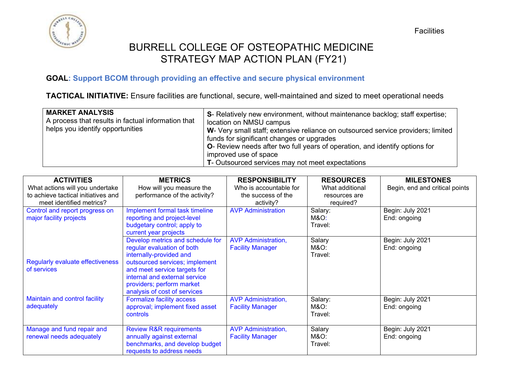

### **GOAL: Support BCOM through providing an effective and secure physical environment**

**TACTICAL INITIATIVE:** Ensure facilities are functional, secure, well-maintained and sized to meet operational needs

| <b>MARKET ANALYSIS</b><br>A process that results in factual information that<br>helps you identify opportunities | S- Relatively new environment, without maintenance backlog; staff expertise;<br>location on NMSU campus<br>W- Very small staff; extensive reliance on outsourced service providers; limited<br>funds for significant changes or upgrades<br>O- Review needs after two full years of operation, and identify options for<br>improved use of space<br>T- Outsourced services may not meet expectations |
|------------------------------------------------------------------------------------------------------------------|------------------------------------------------------------------------------------------------------------------------------------------------------------------------------------------------------------------------------------------------------------------------------------------------------------------------------------------------------------------------------------------------------|
|------------------------------------------------------------------------------------------------------------------|------------------------------------------------------------------------------------------------------------------------------------------------------------------------------------------------------------------------------------------------------------------------------------------------------------------------------------------------------------------------------------------------------|

| <b>ACTIVITIES</b>                   | <b>METRICS</b>                     | <b>RESPONSIBILITY</b>      | <b>RESOURCES</b> | <b>MILESTONES</b>              |
|-------------------------------------|------------------------------------|----------------------------|------------------|--------------------------------|
| What actions will you undertake     | How will you measure the           | Who is accountable for     | What additional  | Begin, end and critical points |
| to achieve tactical initiatives and | performance of the activity?       | the success of the         | resources are    |                                |
| meet identified metrics?            |                                    | activity?                  | required?        |                                |
| Control and report progress on      | Implement formal task timeline     | <b>AVP Administration</b>  | Salary:          | Begin: July 2021               |
| major facility projects             | reporting and project-level        |                            | M&O:             | End: ongoing                   |
|                                     | budgetary control; apply to        |                            | Travel:          |                                |
|                                     | current year projects              |                            |                  |                                |
|                                     | Develop metrics and schedule for   | <b>AVP Administration,</b> | Salary           | Begin: July 2021               |
|                                     | regular evaluation of both         | <b>Facility Manager</b>    | M&O:             | End: ongoing                   |
|                                     | internally-provided and            |                            | Travel:          |                                |
| Regularly evaluate effectiveness    | outsourced services; implement     |                            |                  |                                |
| of services                         | and meet service targets for       |                            |                  |                                |
|                                     | internal and external service      |                            |                  |                                |
|                                     | providers; perform market          |                            |                  |                                |
|                                     | analysis of cost of services       |                            |                  |                                |
| Maintain and control facility       | Formalize facility access          | <b>AVP Administration,</b> | Salary:          | Begin: July 2021               |
| adequately                          | approval; implement fixed asset    | <b>Facility Manager</b>    | M&O:             | End: ongoing                   |
|                                     | controls                           |                            | Travel:          |                                |
|                                     |                                    |                            |                  |                                |
| Manage and fund repair and          | <b>Review R&amp;R requirements</b> | <b>AVP Administration,</b> | Salary           | Begin: July 2021               |
| renewal needs adequately            | annually against external          | <b>Facility Manager</b>    | M&O:             | End: ongoing                   |
|                                     | benchmarks, and develop budget     |                            | Travel:          |                                |
|                                     | requests to address needs          |                            |                  |                                |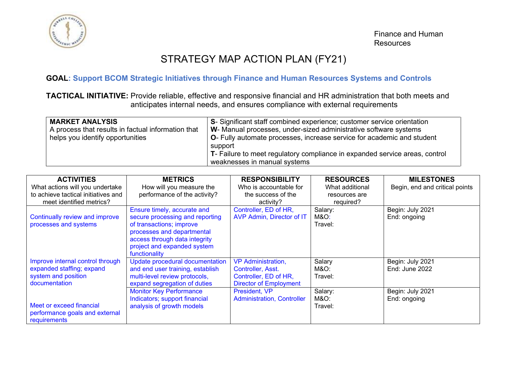

# STRATEGY MAP ACTION PLAN (FY21)

### **GOAL: Support BCOM Strategic Initiatives through Finance and Human Resources Systems and Controls**

**TACTICAL INITIATIVE:** Provide reliable, effective and responsive financial and HR administration that both meets and anticipates internal needs, and ensures compliance with external requirements

| <b>MARKET ANALYSIS</b><br>A process that results in factual information that<br>helps you identify opportunities | S- Significant staff combined experience; customer service orientation<br>W- Manual processes, under-sized administrative software systems<br>O- Fully automate processes, increase service for academic and student<br>support<br>T- Failure to meet regulatory compliance in expanded service areas, control |
|------------------------------------------------------------------------------------------------------------------|----------------------------------------------------------------------------------------------------------------------------------------------------------------------------------------------------------------------------------------------------------------------------------------------------------------|
|                                                                                                                  | weaknesses in manual systems                                                                                                                                                                                                                                                                                   |

| <b>ACTIVITIES</b>                   | <b>METRICS</b>                   | <b>RESPONSIBILITY</b>             | <b>RESOURCES</b> | <b>MILESTONES</b>              |
|-------------------------------------|----------------------------------|-----------------------------------|------------------|--------------------------------|
| What actions will you undertake     | How will you measure the         | Who is accountable for            | What additional  | Begin, end and critical points |
| to achieve tactical initiatives and | performance of the activity?     | the success of the                | resources are    |                                |
| meet identified metrics?            |                                  | activity?                         | required?        |                                |
|                                     | Ensure timely, accurate and      | Controller, ED of HR,             | Salary:          | Begin: July 2021               |
| Continually review and improve      | secure processing and reporting  | AVP Admin, Director of IT         | M&O:             | End: ongoing                   |
| processes and systems               | of transactions; improve         |                                   | Travel:          |                                |
|                                     | processes and departmental       |                                   |                  |                                |
|                                     | access through data integrity    |                                   |                  |                                |
|                                     | project and expanded system      |                                   |                  |                                |
|                                     | functionality                    |                                   |                  |                                |
| Improve internal control through    | Update procedural documentation  | <b>VP Administration,</b>         | Salary           | Begin: July 2021               |
| expanded staffing; expand           | and end user training, establish | Controller, Asst.                 | M&O:             | End: June 2022                 |
| system and position                 | multi-level review protocols,    | Controller, ED of HR,             | Travel:          |                                |
| documentation                       | expand segregation of duties     | <b>Director of Employment</b>     |                  |                                |
|                                     | <b>Monitor Key Performance</b>   | President, VP                     | Salary:          | Begin: July 2021               |
|                                     | Indicators; support financial    | <b>Administration, Controller</b> | M&O:             | End: ongoing                   |
| Meet or exceed financial            | analysis of growth models        |                                   | Travel:          |                                |
| performance goals and external      |                                  |                                   |                  |                                |
| requirements                        |                                  |                                   |                  |                                |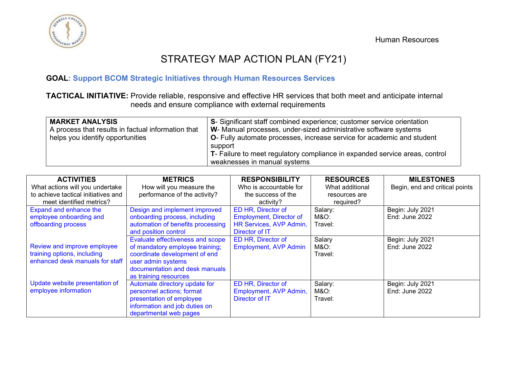



# STRATEGY MAP ACTION PLAN (FY21)

### **GOAL: Support BCOM Strategic Initiatives through Human Resources Services**

**TACTICAL INITIATIVE:** Provide reliable, responsive and effective HR services that both meet and anticipate internal needs and ensure compliance with external requirements

| <b>MARKET ANALYSIS</b><br>A process that results in factual information that<br>helps you identify opportunities | S- Significant staff combined experience; customer service orientation<br>W- Manual processes, under-sized administrative software systems<br><sup>1</sup> O- Fully automate processes, increase service for academic and student<br>support<br>$\mathsf{T}$ - Failure to meet regulatory compliance in expanded service areas, control |
|------------------------------------------------------------------------------------------------------------------|-----------------------------------------------------------------------------------------------------------------------------------------------------------------------------------------------------------------------------------------------------------------------------------------------------------------------------------------|
|                                                                                                                  | weaknesses in manual systems                                                                                                                                                                                                                                                                                                            |

| <b>ACTIVITIES</b>                   | <b>METRICS</b>                    | <b>RESPONSIBILITY</b>          | <b>RESOURCES</b> | <b>MILESTONES</b>              |
|-------------------------------------|-----------------------------------|--------------------------------|------------------|--------------------------------|
| What actions will you undertake     | How will you measure the          | Who is accountable for         | What additional  | Begin, end and critical points |
| to achieve tactical initiatives and | performance of the activity?      | the success of the             | resources are    |                                |
| meet identified metrics?            |                                   | activity?                      | required?        |                                |
| Expand and enhance the              | Design and implement improved     | ED HR, Director of             | Salary:          | Begin: July 2021               |
| employee onboarding and             | onboarding process, including     | <b>Employment, Director of</b> | M&O:             | End: June 2022                 |
| offboarding process                 | automation of benefits processing | HR Services, AVP Admin,        | Travel:          |                                |
|                                     | and position control              | Director of IT                 |                  |                                |
|                                     | Evaluate effectiveness and scope  | ED HR, Director of             | Salary           | Begin: July 2021               |
| Review and improve employee         | of mandatory employee training;   | <b>Employment, AVP Admin</b>   | M&O:             | End: June 2022                 |
| training options, including         | coordinate development of end     |                                | Travel:          |                                |
| enhanced desk manuals for staff     | user admin systems                |                                |                  |                                |
|                                     | documentation and desk manuals    |                                |                  |                                |
|                                     | as training resources             |                                |                  |                                |
| Update website presentation of      | Automate directory update for     | ED HR, Director of             | Salary:          | Begin: July 2021               |
| employee information                | personnel actions; format         | Employment, AVP Admin,         | M&O:             | End: June 2022                 |
|                                     | presentation of employee          | Director of IT                 | Travel:          |                                |
|                                     | information and job duties on     |                                |                  |                                |
|                                     | departmental web pages            |                                |                  |                                |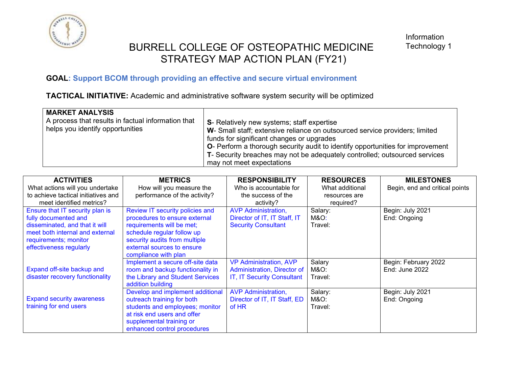

### **GOAL: Support BCOM through providing an effective and secure virtual environment**

**TACTICAL INITIATIVE:** Academic and administrative software system security will be optimized

| <b>MARKET ANALYSIS</b>                                                                 |                                                                                        |
|----------------------------------------------------------------------------------------|----------------------------------------------------------------------------------------|
| A process that results in factual information that<br>helps you identify opportunities | S- Relatively new systems; staff expertise                                             |
|                                                                                        | W- Small staff; extensive reliance on outsourced service providers; limited            |
|                                                                                        | funds for significant changes or upgrades                                              |
|                                                                                        | <b>O</b> - Perform a thorough security audit to identify opportunities for improvement |
|                                                                                        | T- Security breaches may not be adequately controlled; outsourced services             |
|                                                                                        | may not meet expectations                                                              |

| <b>ACTIVITIES</b><br>What actions will you undertake | <b>METRICS</b><br>How will you measure the               | <b>RESPONSIBILITY</b><br>Who is accountable for | <b>RESOURCES</b><br>What additional | <b>MILESTONES</b><br>Begin, end and critical points |
|------------------------------------------------------|----------------------------------------------------------|-------------------------------------------------|-------------------------------------|-----------------------------------------------------|
| to achieve tactical initiatives and                  | performance of the activity?                             | the success of the                              | resources are                       |                                                     |
| meet identified metrics?                             |                                                          | activity?                                       | required?                           |                                                     |
| Ensure that IT security plan is                      | Review IT security policies and                          | <b>AVP Administration,</b>                      | Salary:                             | Begin: July 2021                                    |
| fully documented and                                 | procedures to ensure external                            | Director of IT, IT Staff, IT                    | M&O:                                | End: Ongoing                                        |
| disseminated, and that it will                       | requirements will be met;                                | <b>Security Consultant</b>                      | Travel:                             |                                                     |
| meet both internal and external                      | schedule regular follow up                               |                                                 |                                     |                                                     |
| requirements; monitor                                | security audits from multiple                            |                                                 |                                     |                                                     |
| effectiveness regularly                              | external sources to ensure                               |                                                 |                                     |                                                     |
|                                                      | compliance with plan<br>Implement a secure off-site data | <b>VP Administration, AVP</b>                   | Salary                              | Begin: February 2022                                |
| Expand off-site backup and                           | room and backup functionality in                         | Administration, Director of                     | M&O:                                | End: June 2022                                      |
| disaster recovery functionality                      | the Library and Student Services                         | IT, IT Security Consultant                      | Travel:                             |                                                     |
|                                                      | addition building                                        |                                                 |                                     |                                                     |
|                                                      | Develop and implement additional                         | <b>AVP Administration,</b>                      | Salary:                             | Begin: July 2021                                    |
| <b>Expand security awareness</b>                     | outreach training for both                               | Director of IT, IT Staff, ED                    | M&O:                                | End: Ongoing                                        |
| training for end users                               | students and employees; monitor                          | of HR                                           | Travel:                             |                                                     |
|                                                      | at risk end users and offer                              |                                                 |                                     |                                                     |
|                                                      | supplemental training or                                 |                                                 |                                     |                                                     |
|                                                      | enhanced control procedures                              |                                                 |                                     |                                                     |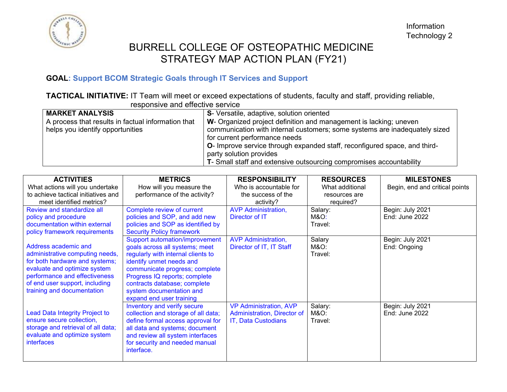

### **GOAL: Support BCOM Strategic Goals through IT Services and Support**

**TACTICAL INITIATIVE:** IT Team will meet or exceed expectations of students, faculty and staff, providing reliable, responsive and effective service

| TUUDUTUTTU UTTU UTTUULITU JULTIUU                  |                                                                            |  |  |  |
|----------------------------------------------------|----------------------------------------------------------------------------|--|--|--|
| <b>MARKET ANALYSIS</b>                             | S- Versatile, adaptive, solution oriented                                  |  |  |  |
| A process that results in factual information that | W- Organized project definition and management is lacking; uneven          |  |  |  |
| helps you identify opportunities                   | communication with internal customers; some systems are inadequately sized |  |  |  |
|                                                    | for current performance needs                                              |  |  |  |
|                                                    | O- Improve service through expanded staff, reconfigured space, and third-  |  |  |  |
|                                                    | party solution provides                                                    |  |  |  |
|                                                    | T- Small staff and extensive outsourcing compromises accountability        |  |  |  |

| <b>ACTIVITIES</b>                                 | <b>METRICS</b>                      | <b>RESPONSIBILITY</b>         | <b>RESOURCES</b> | <b>MILESTONES</b>              |
|---------------------------------------------------|-------------------------------------|-------------------------------|------------------|--------------------------------|
| What actions will you undertake                   | How will you measure the            | Who is accountable for        | What additional  | Begin, end and critical points |
| to achieve tactical initiatives and               | performance of the activity?        | the success of the            | resources are    |                                |
| meet identified metrics?                          |                                     | activity?                     | required?        |                                |
| Review and standardize all                        | Complete review of current          | <b>AVP Administration,</b>    | Salary:          | Begin: July 2021               |
| policy and procedure                              | policies and SOP, and add new       | Director of IT                | M&O:             | End: June 2022                 |
| documentation within external                     | policies and SOP as identified by   |                               | Travel:          |                                |
| policy framework requirements                     | <b>Security Policy framework</b>    |                               |                  |                                |
|                                                   | Support automation/improvement      | <b>AVP Administration,</b>    | Salary           | Begin: July 2021               |
| Address academic and                              | goals across all systems; meet      | Director of IT, IT Staff      | M&O:             | End: Ongoing                   |
| administrative computing needs,                   | regularly with internal clients to  |                               | Travel:          |                                |
| for both hardware and systems;                    | identify unmet needs and            |                               |                  |                                |
| evaluate and optimize system                      | communicate progress; complete      |                               |                  |                                |
| performance and effectiveness                     | Progress IQ reports; complete       |                               |                  |                                |
| of end user support, including                    | contracts database; complete        |                               |                  |                                |
| training and documentation                        | system documentation and            |                               |                  |                                |
|                                                   | expand end user training            |                               |                  |                                |
|                                                   | Inventory and verify secure         | <b>VP Administration, AVP</b> | Salary:          | Begin: July 2021               |
| Lead Data Integrity Project to                    | collection and storage of all data; | Administration, Director of   | M&O:             | End: June 2022                 |
| ensure secure collection,                         | define formal access approval for   | IT, Data Custodians           | Travel:          |                                |
| storage and retrieval of all data;                | all data and systems; document      |                               |                  |                                |
| evaluate and optimize system<br><i>interfaces</i> | and review all system interfaces    |                               |                  |                                |
|                                                   | for security and needed manual      |                               |                  |                                |
|                                                   | interface.                          |                               |                  |                                |
|                                                   |                                     |                               |                  |                                |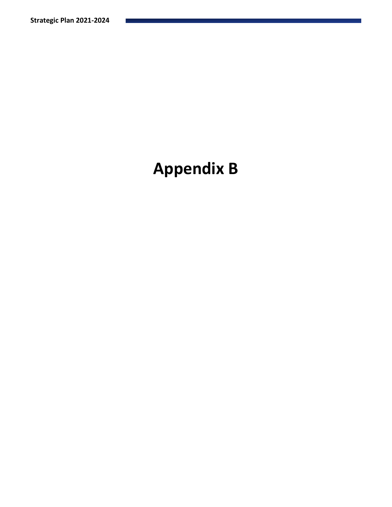# **Appendix B**